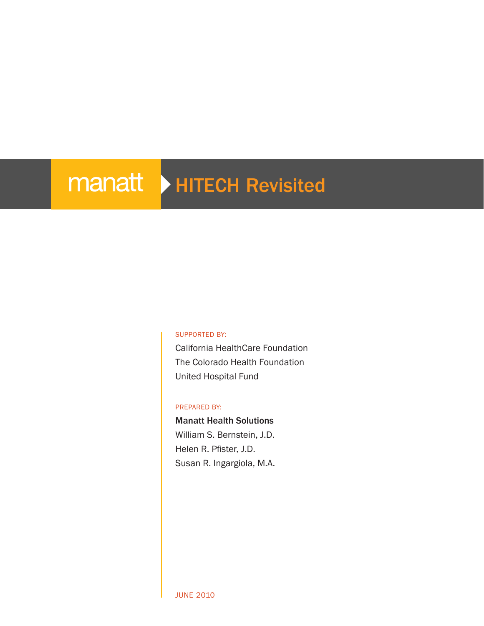# manatt > HITECH Revisited

#### Supported by:

California HealthCare Foundation The Colorado Health Foundation United Hospital Fund

#### PREPARED BY:

#### Manatt Health Solutions

William S. Bernstein, J.D. Helen R. Pfister, J.D. Susan R. Ingargiola, M.A.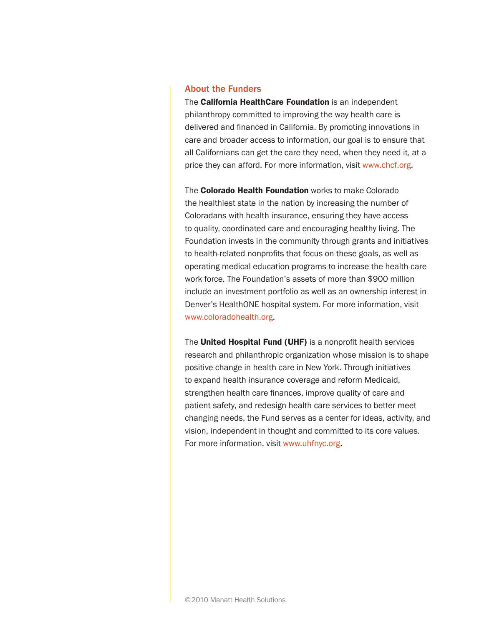#### About the Funders

The **California HealthCare Foundation** is an independent philanthropy committed to improving the way health care is delivered and financed in California. By promoting innovations in care and broader access to information, our goal is to ensure that all Californians can get the care they need, when they need it, at a price they can afford. For more information, visit [www.chcf.org.](http://www.chcf.org/)

The Colorado Health Foundation works to make Colorado the healthiest state in the nation by increasing the number of Coloradans with health insurance, ensuring they have access to quality, coordinated care and encouraging healthy living. The Foundation invests in the community through grants and initiatives to health-related nonprofits that focus on these goals, as well as operating medical education programs to increase the health care work force. The Foundation's assets of more than \$900 million include an investment portfolio as well as an ownership interest in Denver's HealthONE hospital system. For more information, visit [www.coloradohealth.org](http://www.coloradohealth.org/).

The United Hospital Fund (UHF) is a nonprofit health services research and philanthropic organization whose mission is to shape positive change in health care in New York. Through initiatives to expand health insurance coverage and reform Medicaid, strengthen health care finances, improve quality of care and patient safety, and redesign health care services to better meet changing needs, the Fund serves as a center for ideas, activity, and vision, independent in thought and committed to its core values. For more information, visit [www.uhfnyc.org](http://www.uhfnyc.org/).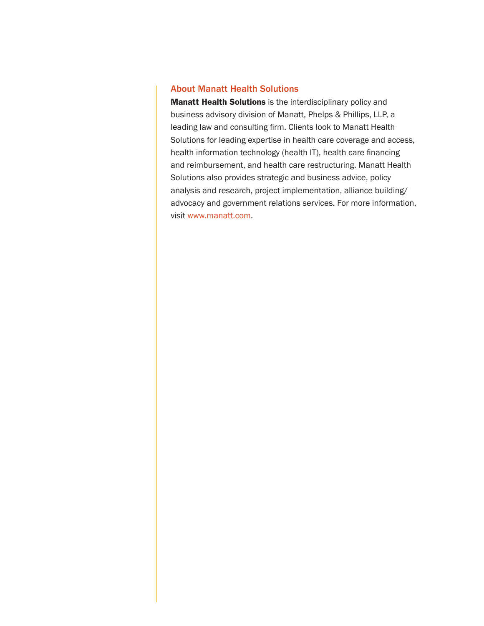#### About Manatt Health Solutions

Manatt Health Solutions is the interdisciplinary policy and business advisory division of Manatt, Phelps & Phillips, LLP, a leading law and consulting firm. Clients look to Manatt Health Solutions for leading expertise in health care coverage and access, health information technology (health IT), health care financing and reimbursement, and health care restructuring. Manatt Health Solutions also provides strategic and business advice, policy analysis and research, project implementation, alliance building/ advocacy and government relations services. For more information, visit [www.manatt.com](http://www.manatt.com/WhoWeAre.aspx).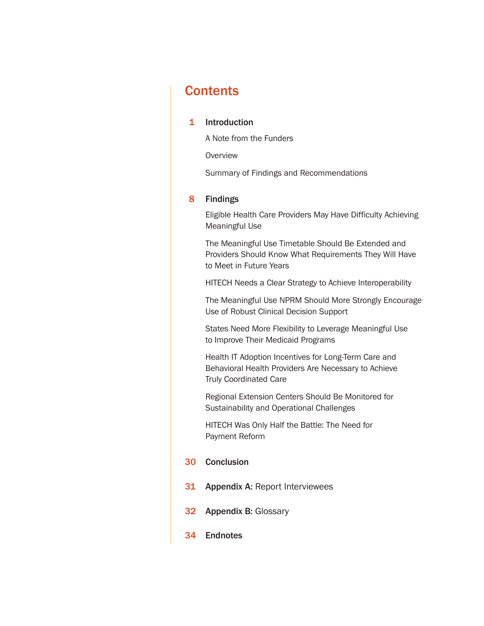### **Contents**

#### 1 [Introduction](#page-4-0)

A [Note from the Funders](#page-4-0)

**[Overview](#page-6-0)** 

[Summary of Findings and Recommendations](#page-9-0)

#### 8 [Findings](#page-11-0)

[Eligible Health Care Providers May Have Difficulty Achieving](#page-11-0)  [Meaningful Use](#page-11-0)

[The Meaningful Use Timetable Should Be Extended and](#page-16-0)  [Providers Should Know What Requirements They Will Have](#page-16-0)  [to Meet in Future Years](#page-16-0)

[HITECH Needs a Clear Strategy to Achieve Interoperability](#page-18-0)

[The Meaningful Use NPRM Should More Strongly Encourage](#page-21-0)  [Use of Robust Clinical Decision Support](#page-21-0)

[States Need More Flexibility to Leverage Meaningful Use](#page-23-0)  [to Improve Their Medicaid Programs](#page-23-0)

Health IT [Adoption Incentives for Long-Term Care and](#page-24-0)  [Behavioral Health Providers Are Necessary to Achieve](#page-24-0)  [Truly Coordinated Care](#page-24-0)

[Regional Extension Centers Should Be Monitored for](#page-26-0)  [Sustainability and Operational Challenges](#page-26-0)

[HITECH Was Only Half the Battle: The Need for](#page-29-0)  [Payment Reform](#page-29-0)

#### 30 [Conclusion](#page-33-0)

- 31 Appendix A: [Report Interviewees](#page-34-0)
- 32 [Appendix B:](#page-35-0) Glossary
- 34 [Endnotes](#page-37-0)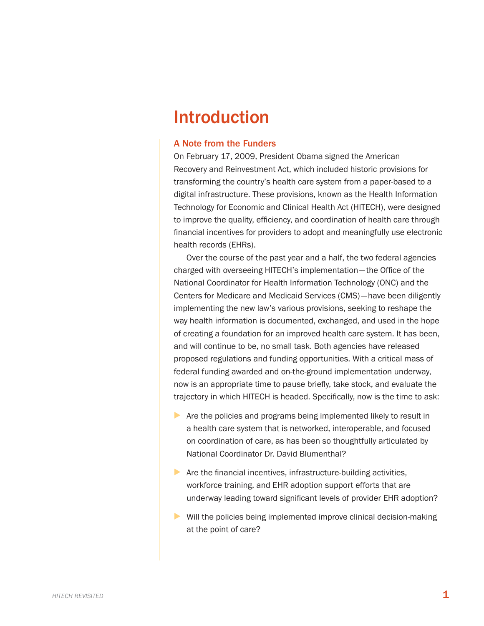## <span id="page-4-0"></span>Introduction

#### A Note from the Funders

On February 17, 2009, President Obama signed the American Recovery and Reinvestment Act, which included historic provisions for transforming the country's health care system from a paper-based to a digital infrastructure. These provisions, known as the Health Information Technology for Economic and Clinical Health Act (HITECH), were designed to improve the quality, efficiency, and coordination of health care through financial incentives for providers to adopt and meaningfully use electronic health records (EHRs).

Over the course of the past year and a half, the two federal agencies charged with overseeing HITECH's implementation—the Office of the National Coordinator for Health Information Technology (ONC) and the Centers for Medicare and Medicaid Services (CMS)—have been diligently implementing the new law's various provisions, seeking to reshape the way health information is documented, exchanged, and used in the hope of creating a foundation for an improved health care system. It has been, and will continue to be, no small task. Both agencies have released proposed regulations and funding opportunities. With a critical mass of federal funding awarded and on-the-ground implementation underway, now is an appropriate time to pause briefly, take stock, and evaluate the trajectory in which HITECH is headed. Specifically, now is the time to ask:

- ▶ Are the policies and programs being implemented likely to result in a health care system that is networked, interoperable, and focused on coordination of care, as has been so thoughtfully articulated by National Coordinator Dr. David Blumenthal?
- $\triangleright$  Are the financial incentives, infrastructure-building activities, workforce training, and EHR adoption support efforts that are underway leading toward significant levels of provider EHR adoption?
- ▶ Will the policies being implemented improve clinical decision-making at the point of care?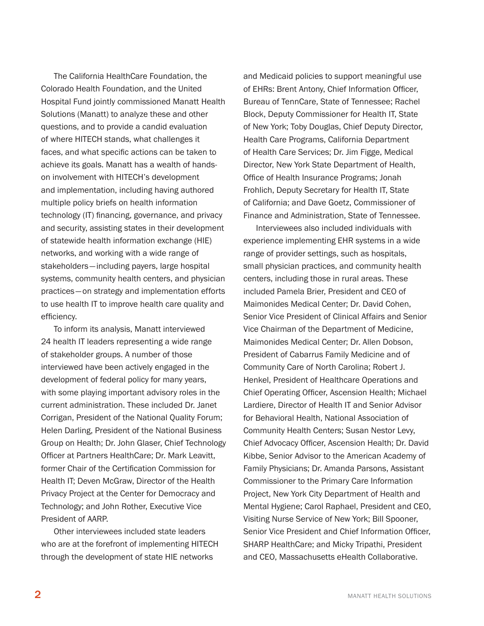The California HealthCare Foundation, the Colorado Health Foundation, and the United Hospital Fund jointly commissioned Manatt Health Solutions (Manatt) to analyze these and other questions, and to provide a candid evaluation of where HITECH stands, what challenges it faces, and what specific actions can be taken to achieve its goals. Manatt has a wealth of handson involvement with HITECH's development and implementation, including having authored multiple policy briefs on health information technology (IT) financing, governance, and privacy and security, assisting states in their development of statewide health information exchange (HIE) networks, and working with a wide range of stakeholders—including payers, large hospital systems, community health centers, and physician practices—on strategy and implementation efforts to use health IT to improve health care quality and efficiency.

To inform its analysis, Manatt interviewed 24 health IT leaders representing a wide range of stakeholder groups. A number of those interviewed have been actively engaged in the development of federal policy for many years, with some playing important advisory roles in the current administration. These included Dr. Janet Corrigan, President of the National Quality Forum; Helen Darling, President of the National Business Group on Health; Dr. John Glaser, Chief Technology Officer at Partners HealthCare; Dr. Mark Leavitt, former Chair of the Certification Commission for Health IT; Deven McGraw, Director of the Health Privacy Project at the Center for Democracy and Technology; and John Rother, Executive Vice President of AARP.

Other interviewees included state leaders who are at the forefront of implementing HITECH through the development of state HIE networks

and Medicaid policies to support meaningful use of EHRs: Brent Antony, Chief Information Officer, Bureau of TennCare, State of Tennessee; Rachel Block, Deputy Commissioner for Health IT, State of New York; Toby Douglas, Chief Deputy Director, Health Care Programs, California Department of Health Care Services; Dr. Jim Figge, Medical Director, New York State Department of Health, Office of Health Insurance Programs; Jonah Frohlich, Deputy Secretary for Health IT, State of California; and Dave Goetz, Commissioner of Finance and Administration, State of Tennessee.

Interviewees also included individuals with experience implementing EHR systems in a wide range of provider settings, such as hospitals, small physician practices, and community health centers, including those in rural areas. These included Pamela Brier, President and CEO of Maimonides Medical Center; Dr. David Cohen, Senior Vice President of Clinical Affairs and Senior Vice Chairman of the Department of Medicine, Maimonides Medical Center; Dr. Allen Dobson, President of Cabarrus Family Medicine and of Community Care of North Carolina; Robert J. Henkel, President of Healthcare Operations and Chief Operating Officer, Ascension Health; Michael Lardiere, Director of Health IT and Senior Advisor for Behavioral Health, National Association of Community Health Centers; Susan Nestor Levy, Chief Advocacy Officer, Ascension Health; Dr. David Kibbe, Senior Advisor to the American Academy of Family Physicians; Dr. Amanda Parsons, Assistant Commissioner to the Primary Care Information Project, New York City Department of Health and Mental Hygiene; Carol Raphael, President and CEO, Visiting Nurse Service of New York; Bill Spooner, Senior Vice President and Chief Information Officer, SHARP HealthCare; and Micky Tripathi, President and CEO, Massachusetts eHealth Collaborative.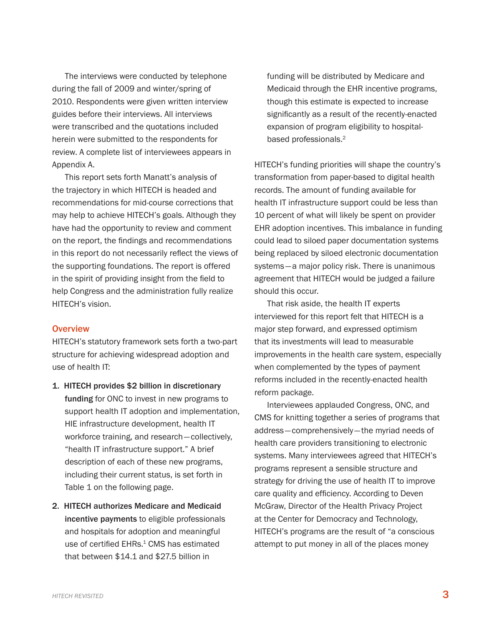<span id="page-6-0"></span>The interviews were conducted by telephone during the fall of 2009 and winter/spring of 2010. Respondents were given written interview guides before their interviews. All interviews were transcribed and the quotations included herein were submitted to the respondents for review. A complete list of interviewees appears in Appendix A.

This report sets forth Manatt's analysis of the trajectory in which HITECH is headed and recommendations for mid-course corrections that may help to achieve HITECH's goals. Although they have had the opportunity to review and comment on the report, the findings and recommendations in this report do not necessarily reflect the views of the supporting foundations. The report is offered in the spirit of providing insight from the field to help Congress and the administration fully realize HITECH's vision.

#### **Overview**

HITECH's statutory framework sets forth a two-part structure for achieving widespread adoption and use of health IT:

- 1. HITECH provides \$2 billion in discretionary funding for ONC to invest in new programs to support health IT adoption and implementation, HIE infrastructure development, health IT workforce training, and research—collectively, "health IT infrastructure support." A brief description of each of these new programs, including their current status, is set forth in Table 1 on the following page.
- 2. HITECH authorizes Medicare and Medicaid incentive payments to eligible professionals and hospitals for adoption and meaningful use of certified EHRs.<sup>1</sup> CMS has estimated that between \$14.1 and \$27.5 billion in

funding will be distributed by Medicare and Medicaid through the EHR incentive programs, though this estimate is expected to increase significantly as a result of the recently-enacted expansion of program eligibility to hospitalbased professionals.<sup>2</sup>

HITECH's funding priorities will shape the country's transformation from paper-based to digital health records. The amount of funding available for health IT infrastructure support could be less than 10 percent of what will likely be spent on provider EHR adoption incentives. This imbalance in funding could lead to siloed paper documentation systems being replaced by siloed electronic documentation systems—a major policy risk. There is unanimous agreement that HITECH would be judged a failure should this occur.

That risk aside, the health IT experts interviewed for this report felt that HITECH is a major step forward, and expressed optimism that its investments will lead to measurable improvements in the health care system, especially when complemented by the types of payment reforms included in the recently-enacted health reform package.

Interviewees applauded Congress, ONC, and CMS for knitting together a series of programs that address—comprehensively—the myriad needs of health care providers transitioning to electronic systems. Many interviewees agreed that HITECH's programs represent a sensible structure and strategy for driving the use of health IT to improve care quality and efficiency. According to Deven McGraw, Director of the Health Privacy Project at the Center for Democracy and Technology, HITECH's programs are the result of "a conscious attempt to put money in all of the places money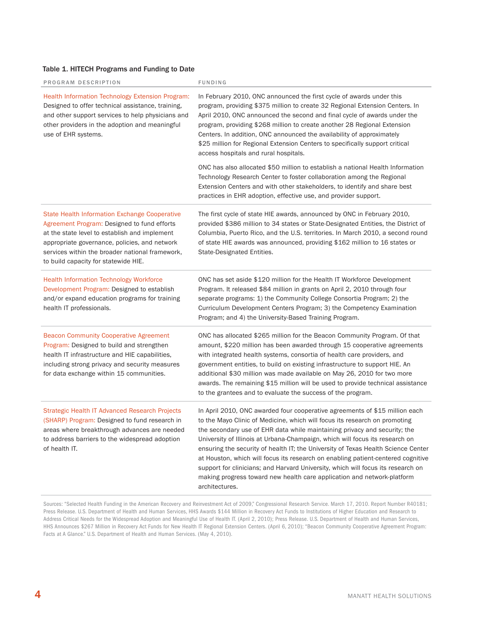#### Table 1. HITECH Programs and Funding to Date

| PROGRAM DESCRIPTION                                                                                                                                                                                                                                                                       | FUNDING                                                                                                                                                                                                                                                                                                                                                                                                                                                                                                                                                                                                                                                                                                                                                                                                                   |
|-------------------------------------------------------------------------------------------------------------------------------------------------------------------------------------------------------------------------------------------------------------------------------------------|---------------------------------------------------------------------------------------------------------------------------------------------------------------------------------------------------------------------------------------------------------------------------------------------------------------------------------------------------------------------------------------------------------------------------------------------------------------------------------------------------------------------------------------------------------------------------------------------------------------------------------------------------------------------------------------------------------------------------------------------------------------------------------------------------------------------------|
| Health Information Technology Extension Program:<br>Designed to offer technical assistance, training,<br>and other support services to help physicians and<br>other providers in the adoption and meaningful<br>use of EHR systems.                                                       | In February 2010, ONC announced the first cycle of awards under this<br>program, providing \$375 million to create 32 Regional Extension Centers. In<br>April 2010, ONC announced the second and final cycle of awards under the<br>program, providing \$268 million to create another 28 Regional Extension<br>Centers. In addition, ONC announced the availability of approximately<br>\$25 million for Regional Extension Centers to specifically support critical<br>access hospitals and rural hospitals.<br>ONC has also allocated \$50 million to establish a national Health Information<br>Technology Research Center to foster collaboration among the Regional<br>Extension Centers and with other stakeholders, to identify and share best<br>practices in EHR adoption, effective use, and provider support. |
| State Health Information Exchange Cooperative<br>Agreement Program: Designed to fund efforts<br>at the state level to establish and implement<br>appropriate governance, policies, and network<br>services within the broader national framework,<br>to build capacity for statewide HIE. | The first cycle of state HIE awards, announced by ONC in February 2010,<br>provided \$386 million to 34 states or State-Designated Entities, the District of<br>Columbia, Puerto Rico, and the U.S. territories. In March 2010, a second round<br>of state HIE awards was announced, providing \$162 million to 16 states or<br>State-Designated Entities.                                                                                                                                                                                                                                                                                                                                                                                                                                                                |
| <b>Health Information Technology Workforce</b><br>Development Program: Designed to establish<br>and/or expand education programs for training<br>health IT professionals.                                                                                                                 | ONC has set aside \$120 million for the Health IT Workforce Development<br>Program. It released \$84 million in grants on April 2, 2010 through four<br>separate programs: 1) the Community College Consortia Program; 2) the<br>Curriculum Development Centers Program; 3) the Competency Examination<br>Program; and 4) the University-Based Training Program.                                                                                                                                                                                                                                                                                                                                                                                                                                                          |
| <b>Beacon Community Cooperative Agreement</b><br>Program: Designed to build and strengthen<br>health IT infrastructure and HIE capabilities,<br>including strong privacy and security measures<br>for data exchange within 15 communities.                                                | ONC has allocated \$265 million for the Beacon Community Program. Of that<br>amount, \$220 million has been awarded through 15 cooperative agreements<br>with integrated health systems, consortia of health care providers, and<br>government entities, to build on existing infrastructure to support HIE. An<br>additional \$30 million was made available on May 26, 2010 for two more<br>awards. The remaining \$15 million will be used to provide technical assistance<br>to the grantees and to evaluate the success of the program.                                                                                                                                                                                                                                                                              |
| Strategic Health IT Advanced Research Projects<br>(SHARP) Program: Designed to fund research in<br>areas where breakthrough advances are needed<br>to address barriers to the widespread adoption<br>of health IT.                                                                        | In April 2010, ONC awarded four cooperative agreements of \$15 million each<br>to the Mayo Clinic of Medicine, which will focus its research on promoting<br>the secondary use of EHR data while maintaining privacy and security; the<br>University of Illinois at Urbana-Champaign, which will focus its research on<br>ensuring the security of health IT; the University of Texas Health Science Center<br>at Houston, which will focus its research on enabling patient-centered cognitive<br>support for clinicians; and Harvard University, which will focus its research on<br>making progress toward new health care application and network-platform<br>architectures.                                                                                                                                          |

Sources: "Selected Health Funding in the American Recovery and Reinvestment Act of 2009," Congressional Research Service. March 17, 2010. Report Number R40181; Press Release. U.S. Department of Health and Human Services, HHS Awards \$144 Million in Recovery Act Funds to Institutions of Higher Education and Research to Address Critical Needs for the Widespread Adoption and Meaningful Use of Health IT. (April 2, 2010); Press Release. U.S. Department of Health and Human Services, HHS Announces \$267 Million in Recovery Act Funds for New Health IT Regional Extension Centers. (April 6, 2010); "Beacon Community Cooperative Agreement Program: Facts at A Glance." U.S. Department of Health and Human Services. (May 4, 2010).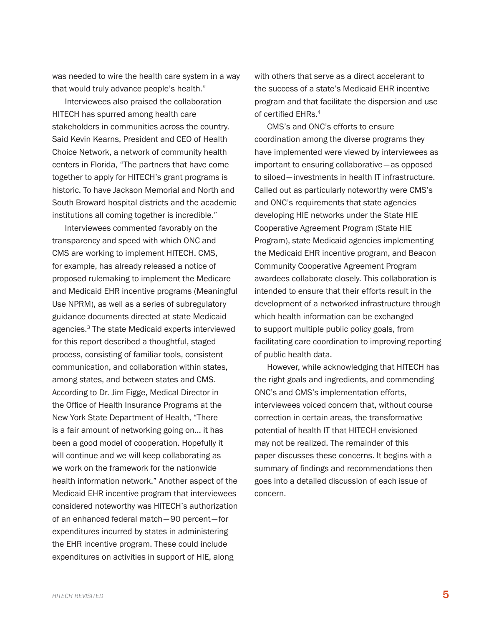was needed to wire the health care system in a way that would truly advance people's health."

Interviewees also praised the collaboration HITECH has spurred among health care stakeholders in communities across the country. Said Kevin Kearns, President and CEO of Health Choice Network, a network of community health centers in Florida, "The partners that have come together to apply for HITECH's grant programs is historic. To have Jackson Memorial and North and South Broward hospital districts and the academic institutions all coming together is incredible."

Interviewees commented favorably on the transparency and speed with which ONC and CMS are working to implement HITECH. CMS, for example, has already released a notice of proposed rulemaking to implement the Medicare and Medicaid EHR incentive programs (Meaningful Use NPRM), as well as a series of subregulatory guidance documents directed at state Medicaid agencies.3 The state Medicaid experts interviewed for this report described a thoughtful, staged process, consisting of familiar tools, consistent communication, and collaboration within states, among states, and between states and CMS. According to Dr. Jim Figge, Medical Director in the Office of Health Insurance Programs at the New York State Department of Health, "There is a fair amount of networking going on… it has been a good model of cooperation. Hopefully it will continue and we will keep collaborating as we work on the framework for the nationwide health information network." Another aspect of the Medicaid EHR incentive program that interviewees considered noteworthy was HITECH's authorization of an enhanced federal match—90 percent—for expenditures incurred by states in administering the EHR incentive program. These could include expenditures on activities in support of HIE, along

with others that serve as a direct accelerant to the success of a state's Medicaid EHR incentive program and that facilitate the dispersion and use of certified EHRs.<sup>4</sup>

CMS's and ONC's efforts to ensure coordination among the diverse programs they have implemented were viewed by interviewees as important to ensuring collaborative—as opposed to siloed—investments in health IT infrastructure. Called out as particularly noteworthy were CMS's and ONC's requirements that state agencies developing HIE networks under the State HIE Cooperative Agreement Program (State HIE Program), state Medicaid agencies implementing the Medicaid EHR incentive program, and Beacon Community Cooperative Agreement Program awardees collaborate closely. This collaboration is intended to ensure that their efforts result in the development of a networked infrastructure through which health information can be exchanged to support multiple public policy goals, from facilitating care coordination to improving reporting of public health data.

However, while acknowledging that HITECH has the right goals and ingredients, and commending ONC's and CMS's implementation efforts, interviewees voiced concern that, without course correction in certain areas, the transformative potential of health IT that HITECH envisioned may not be realized. The remainder of this paper discusses these concerns. It begins with a summary of findings and recommendations then goes into a detailed discussion of each issue of concern.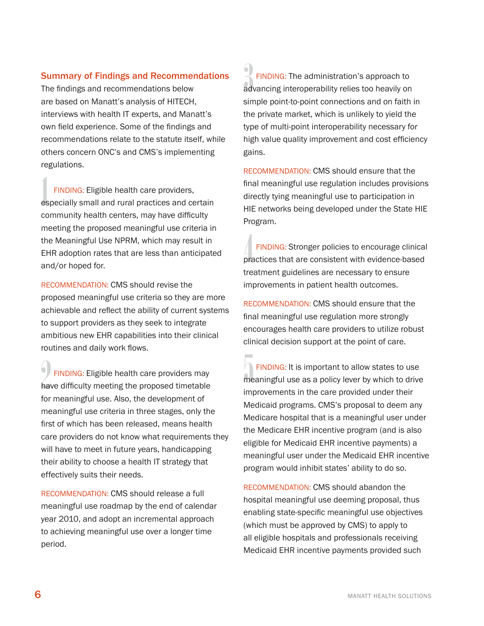#### <span id="page-9-0"></span>Summary of Findings and Recommendations

The findings and recommendations below are based on Manatt's analysis of HITECH, interviews with health IT experts, and Manatt's own field experience. Some of the findings and recommendations relate to the statute itself, while others concern ONC's and CMS's implementing regulations.

FINDING: Eligible health care providers,<br>especially small and rural practices and certain FINDING: Eligible health care providers, community health centers, may have difficulty meeting the proposed meaningful use criteria in the Meaningful Use NPRM, which may result in EHR adoption rates that are less than anticipated and/or hoped for.

Recommendation: CMS should revise the proposed meaningful use criteria so they are more achievable and reflect the ability of current systems to support providers as they seek to integrate ambitious new EHR capabilities into their clinical routines and daily work flows.

FINDING: Eligible health care providers may<br>have difficulty meeting the proposed timetable FINDING: Eligible health care providers may for meaningful use. Also, the development of meaningful use criteria in three stages, only the first of which has been released, means health care providers do not know what requirements they will have to meet in future years, handicapping their ability to choose a health IT strategy that effectively suits their needs.

Recommendation: CMS should release a full meaningful use roadmap by the end of calendar year 2010, and adopt an incremental approach to achieving meaningful use over a longer time period.

**EINDING:** The administration's approach to<br>advancing interoperability relies too heavily on FINDING: The administration's approach to simple point-to-point connections and on faith in the private market, which is unlikely to yield the type of multi-point interoperability necessary for high value quality improvement and cost efficiency gains.

Recommendation: CMS should ensure that the final meaningful use regulation includes provisions directly tying meaningful use to participation in HIE networks being developed under the State HIE Program.

FINDING: Stronger policies to encourage clinical<br>practices that are consistent with evidence-based Finding: Stronger policies to encourage clinical treatment guidelines are necessary to ensure improvements in patient health outcomes.

Recommendation: CMS should ensure that the final meaningful use regulation more strongly encourages health care providers to utilize robust clinical decision support at the point of care.

**FINDING:** It is important to allow states to use<br>meaningful use as a policy lever by which to drive FINDING: It is important to allow states to use improvements in the care provided under their Medicaid programs. CMS's proposal to deem any Medicare hospital that is a meaningful user under the Medicare EHR incentive program (and is also eligible for Medicaid EHR incentive payments) a meaningful user under the Medicaid EHR incentive program would inhibit states' ability to do so.

Recommendation: CMS should abandon the hospital meaningful use deeming proposal, thus enabling state-specific meaningful use objectives (which must be approved by CMS) to apply to all eligible hospitals and professionals receiving Medicaid EHR incentive payments provided such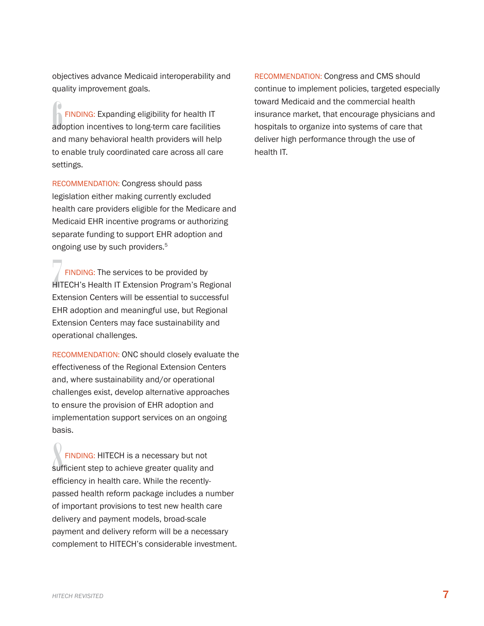objectives advance Medicaid interoperability and quality improvement goals.

**6**<br>**A FINDING:** Expanding eligibility for health IT adoption incentives to long-term care facilities Finding: Expanding eligibility for health IT and many behavioral health providers will help to enable truly coordinated care across all care settings.

Recommendation: Congress should pass legislation either making currently excluded health care providers eligible for the Medicare and Medicaid EHR incentive programs or authorizing separate funding to support EHR adoption and ongoing use by such providers.<sup>5</sup>

FINDING: The services to be provided by<br>HITECH's Health IT Extension Program's Regional FINDING: The services to be provided by Extension Centers will be essential to successful EHR adoption and meaningful use, but Regional Extension Centers may face sustainability and operational challenges.

Recommendation: ONC should closely evaluate the effectiveness of the Regional Extension Centers and, where sustainability and/or operational challenges exist, develop alternative approaches to ensure the provision of EHR adoption and implementation support services on an ongoing basis.

FINDING: HITECH is a necessary but not<br>sufficient step to achieve greater quality and Finding: HITECH is a necessary but not efficiency in health care. While the recentlypassed health reform package includes a number of important provisions to test new health care delivery and payment models, broad-scale payment and delivery reform will be a necessary complement to HITECH's considerable investment. Recommendation: Congress and CMS should continue to implement policies, targeted especially toward Medicaid and the commercial health insurance market, that encourage physicians and hospitals to organize into systems of care that deliver high performance through the use of health IT.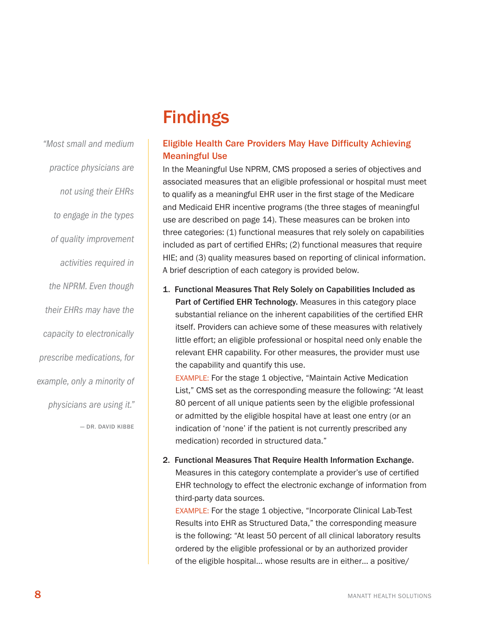## **Findings**

#### Eligible Health Care Providers May Have Difficulty Achieving Meaningful Use

In the Meaningful Use NPRM, CMS proposed a series of objectives and associated measures that an eligible professional or hospital must meet to qualify as a meaningful EHR user in the first stage of the Medicare and Medicaid EHR incentive programs (the three stages of meaningful use are described on page 14). These measures can be broken into three categories: (1) functional measures that rely solely on capabilities included as part of certified EHRs; (2) functional measures that require HIE; and (3) quality measures based on reporting of clinical information. A brief description of each category is provided below.

1. Functional Measures That Rely Solely on Capabilities Included as Part of Certified EHR Technology. Measures in this category place substantial reliance on the inherent capabilities of the certified EHR itself. Providers can achieve some of these measures with relatively little effort; an eligible professional or hospital need only enable the relevant EHR capability. For other measures, the provider must use the capability and quantify this use.

Example: For the stage 1 objective, "Maintain Active Medication List," CMS set as the corresponding measure the following: "At least 80 percent of all unique patients seen by the eligible professional or admitted by the eligible hospital have at least one entry (or an indication of 'none' if the patient is not currently prescribed any medication) recorded in structured data."

2. Functional Measures That Require Health Information Exchange. Measures in this category contemplate a provider's use of certified EHR technology to effect the electronic exchange of information from third-party data sources.

Example: For the stage 1 objective, "Incorporate Clinical Lab-Test Results into EHR as Structured Data," the corresponding measure is the following: "At least 50 percent of all clinical laboratory results ordered by the eligible professional or by an authorized provider of the eligible hospital… whose results are in either… a positive/

<span id="page-11-0"></span>*"Most small and medium practice physicians are not using their EHRs to engage in the types of quality improvement activities required in the NPRM. Even though their EHRs may have the capacity to electronically prescribe medications, for example, only a minority of physicians are using it."*  — Dr. David Kibbe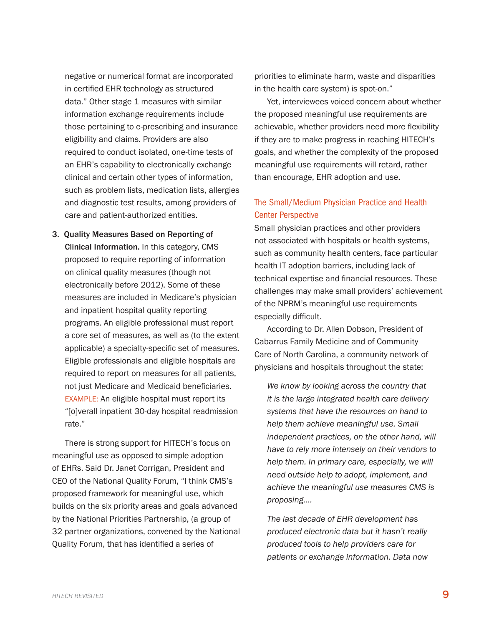negative or numerical format are incorporated in certified EHR technology as structured data." Other stage 1 measures with similar information exchange requirements include those pertaining to e-prescribing and insurance eligibility and claims. Providers are also required to conduct isolated, one-time tests of an EHR's capability to electronically exchange clinical and certain other types of information, such as problem lists, medication lists, allergies and diagnostic test results, among providers of care and patient-authorized entities.

3. Quality Measures Based on Reporting of Clinical Information. In this category, CMS proposed to require reporting of information on clinical quality measures (though not electronically before 2012). Some of these measures are included in Medicare's physician and inpatient hospital quality reporting programs. An eligible professional must report a core set of measures, as well as (to the extent applicable) a specialty-specific set of measures. Eligible professionals and eligible hospitals are required to report on measures for all patients, not just Medicare and Medicaid beneficiaries. EXAMPLE: An eligible hospital must report its "[o]verall inpatient 30-day hospital readmission rate."

There is strong support for HITECH's focus on meaningful use as opposed to simple adoption of EHRs. Said Dr. Janet Corrigan, President and CEO of the National Quality Forum, "I think CMS's proposed framework for meaningful use, which builds on the six priority areas and goals advanced by the National Priorities Partnership, (a group of 32 partner organizations, convened by the National Quality Forum, that has identified a series of

priorities to eliminate harm, waste and disparities in the health care system) is spot-on."

Yet, interviewees voiced concern about whether the proposed meaningful use requirements are achievable, whether providers need more flexibility if they are to make progress in reaching HITECH's goals, and whether the complexity of the proposed meaningful use requirements will retard, rather than encourage, EHR adoption and use.

#### The Small/Medium Physician Practice and Health Center Perspective

Small physician practices and other providers not associated with hospitals or health systems, such as community health centers, face particular health IT adoption barriers, including lack of technical expertise and financial resources. These challenges may make small providers' achievement of the NPRM's meaningful use requirements especially difficult.

According to Dr. Allen Dobson, President of Cabarrus Family Medicine and of Community Care of North Carolina, a community network of physicians and hospitals throughout the state:

*We know by looking across the country that it is the large integrated health care delivery systems that have the resources on hand to help them achieve meaningful use. Small independent practices, on the other hand, will have to rely more intensely on their vendors to help them. In primary care, especially, we will need outside help to adopt, implement, and achieve the meaningful use measures CMS is proposing.…*

*The last decade of EHR development has produced electronic data but it hasn't really produced tools to help providers care for patients or exchange information. Data now*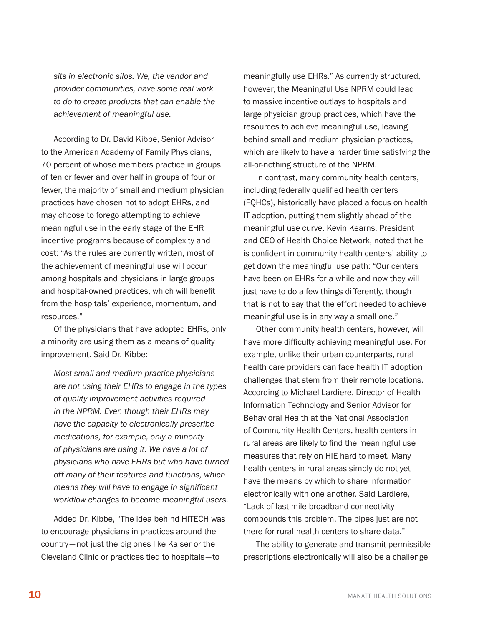*sits in electronic silos. We, the vendor and provider communities, have some real work to do to create products that can enable the achievement of meaningful use.* 

According to Dr. David Kibbe, Senior Advisor to the American Academy of Family Physicians, 70 percent of whose members practice in groups of ten or fewer and over half in groups of four or fewer, the majority of small and medium physician practices have chosen not to adopt EHRs, and may choose to forego attempting to achieve meaningful use in the early stage of the EHR incentive programs because of complexity and cost: "As the rules are currently written, most of the achievement of meaningful use will occur among hospitals and physicians in large groups and hospital-owned practices, which will benefit from the hospitals' experience, momentum, and resources."

Of the physicians that have adopted EHRs, only a minority are using them as a means of quality improvement. Said Dr. Kibbe:

*Most small and medium practice physicians are not using their EHRs to engage in the types of quality improvement activities required in the NPRM. Even though their EHRs may have the capacity to electronically prescribe medications, for example, only a minority of physicians are using it. We have a lot of physicians who have EHRs but who have turned off many of their features and functions, which means they will have to engage in significant workflow changes to become meaningful users.*

Added Dr. Kibbe, "The idea behind HITECH was to encourage physicians in practices around the country—not just the big ones like Kaiser or the Cleveland Clinic or practices tied to hospitals—to

meaningfully use EHRs." As currently structured, however, the Meaningful Use NPRM could lead to massive incentive outlays to hospitals and large physician group practices, which have the resources to achieve meaningful use, leaving behind small and medium physician practices, which are likely to have a harder time satisfying the all-or-nothing structure of the NPRM.

In contrast, many community health centers, including federally qualified health centers (FQHCs), historically have placed a focus on health IT adoption, putting them slightly ahead of the meaningful use curve. Kevin Kearns, President and CEO of Health Choice Network, noted that he is confident in community health centers' ability to get down the meaningful use path: "Our centers have been on EHRs for a while and now they will just have to do a few things differently, though that is not to say that the effort needed to achieve meaningful use is in any way a small one."

Other community health centers, however, will have more difficulty achieving meaningful use. For example, unlike their urban counterparts, rural health care providers can face health IT adoption challenges that stem from their remote locations. According to Michael Lardiere, Director of Health Information Technology and Senior Advisor for Behavioral Health at the National Association of Community Health Centers, health centers in rural areas are likely to find the meaningful use measures that rely on HIE hard to meet. Many health centers in rural areas simply do not yet have the means by which to share information electronically with one another. Said Lardiere, "Lack of last-mile broadband connectivity compounds this problem. The pipes just are not there for rural health centers to share data."

The ability to generate and transmit permissible prescriptions electronically will also be a challenge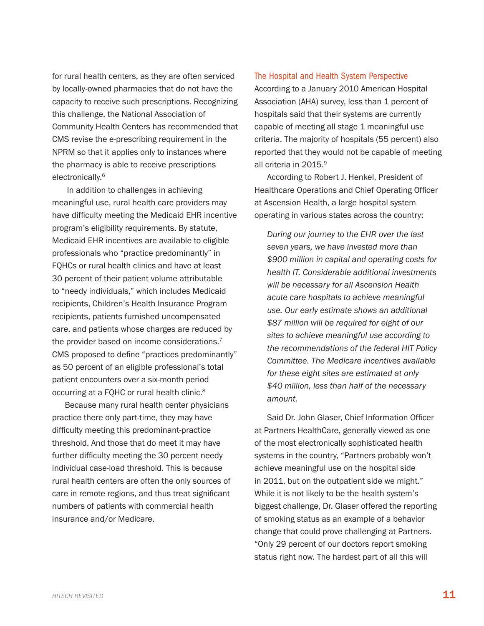for rural health centers, as they are often serviced by locally-owned pharmacies that do not have the capacity to receive such prescriptions. Recognizing this challenge, the National Association of Community Health Centers has recommended that CMS revise the e-prescribing requirement in the NPRM so that it applies only to instances where the pharmacy is able to receive prescriptions electronically.<sup>6</sup>

 In addition to challenges in achieving meaningful use, rural health care providers may have difficulty meeting the Medicaid EHR incentive program's eligibility requirements. By statute, Medicaid EHR incentives are available to eligible professionals who "practice predominantly" in FQHCs or rural health clinics and have at least 30 percent of their patient volume attributable to "needy individuals," which includes Medicaid recipients, Children's Health Insurance Program recipients, patients furnished uncompensated care, and patients whose charges are reduced by the provider based on income considerations.<sup>7</sup> CMS proposed to define "practices predominantly" as 50 percent of an eligible professional's total patient encounters over a six-month period occurring at a FQHC or rural health clinic.8

Because many rural health center physicians practice there only part-time, they may have difficulty meeting this predominant-practice threshold. And those that do meet it may have further difficulty meeting the 30 percent needy individual case-load threshold. This is because rural health centers are often the only sources of care in remote regions, and thus treat significant numbers of patients with commercial health insurance and/or Medicare.

#### The Hospital and Health System Perspective

According to a January 2010 American Hospital Association (AHA) survey, less than 1 percent of hospitals said that their systems are currently capable of meeting all stage 1 meaningful use criteria. The majority of hospitals (55 percent) also reported that they would not be capable of meeting all criteria in 2015.<sup>9</sup>

According to Robert J. Henkel, President of Healthcare Operations and Chief Operating Officer at Ascension Health, a large hospital system operating in various states across the country:

 *During our journey to the EHR over the last seven years, we have invested more than \$900 million in capital and operating costs for health IT. Considerable additional investments will be necessary for all Ascension Health acute care hospitals to achieve meaningful use. Our early estimate shows an additional \$87 million will be required for eight of our sites to achieve meaningful use according to the recommendations of the federal HIT Policy Committee. The Medicare incentives available for these eight sites are estimated at only \$40 million, less than half of the necessary amount.*

Said Dr. John Glaser, Chief Information Officer at Partners HealthCare, generally viewed as one of the most electronically sophisticated health systems in the country, "Partners probably won't achieve meaningful use on the hospital side in 2011, but on the outpatient side we might." While it is not likely to be the health system's biggest challenge, Dr. Glaser offered the reporting of smoking status as an example of a behavior change that could prove challenging at Partners. "Only 29 percent of our doctors report smoking status right now. The hardest part of all this will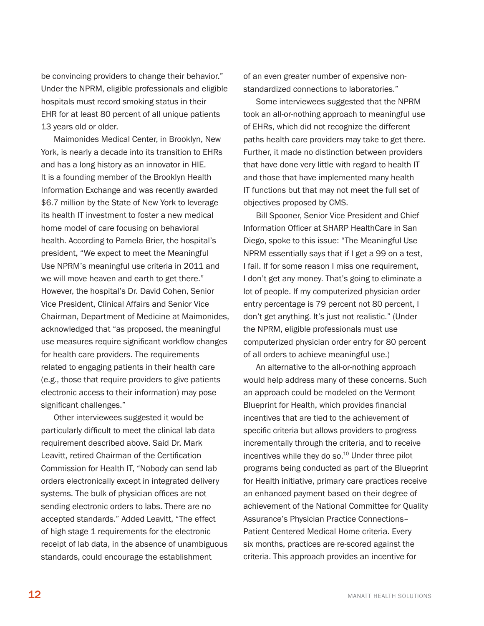be convincing providers to change their behavior." Under the NPRM, eligible professionals and eligible hospitals must record smoking status in their EHR for at least 80 percent of all unique patients 13 years old or older.

Maimonides Medical Center, in Brooklyn, New York, is nearly a decade into its transition to EHRs and has a long history as an innovator in HIE. It is a founding member of the Brooklyn Health Information Exchange and was recently awarded \$6.7 million by the State of New York to leverage its health IT investment to foster a new medical home model of care focusing on behavioral health. According to Pamela Brier, the hospital's president, "We expect to meet the Meaningful Use NPRM's meaningful use criteria in 2011 and we will move heaven and earth to get there." However, the hospital's Dr. David Cohen, Senior Vice President, Clinical Affairs and Senior Vice Chairman, Department of Medicine at Maimonides, acknowledged that "as proposed, the meaningful use measures require significant workflow changes for health care providers. The requirements related to engaging patients in their health care (e.g., those that require providers to give patients electronic access to their information) may pose significant challenges."

Other interviewees suggested it would be particularly difficult to meet the clinical lab data requirement described above. Said Dr. Mark Leavitt, retired Chairman of the Certification Commission for Health IT, "Nobody can send lab orders electronically except in integrated delivery systems. The bulk of physician offices are not sending electronic orders to labs. There are no accepted standards." Added Leavitt, "The effect of high stage 1 requirements for the electronic receipt of lab data, in the absence of unambiguous standards, could encourage the establishment

of an even greater number of expensive nonstandardized connections to laboratories."

Some interviewees suggested that the NPRM took an all-or-nothing approach to meaningful use of EHRs, which did not recognize the different paths health care providers may take to get there. Further, it made no distinction between providers that have done very little with regard to health IT and those that have implemented many health IT functions but that may not meet the full set of objectives proposed by CMS.

Bill Spooner, Senior Vice President and Chief Information Officer at SHARP HealthCare in San Diego, spoke to this issue: "The Meaningful Use NPRM essentially says that if I get a 99 on a test, I fail. If for some reason I miss one requirement, I don't get any money. That's going to eliminate a lot of people. If my computerized physician order entry percentage is 79 percent not 80 percent, I don't get anything. It's just not realistic." (Under the NPRM, eligible professionals must use computerized physician order entry for 80 percent of all orders to achieve meaningful use.)

An alternative to the all-or-nothing approach would help address many of these concerns. Such an approach could be modeled on the Vermont Blueprint for Health, which provides financial incentives that are tied to the achievement of specific criteria but allows providers to progress incrementally through the criteria, and to receive incentives while they do so.<sup>10</sup> Under three pilot programs being conducted as part of the Blueprint for Health initiative, primary care practices receive an enhanced payment based on their degree of achievement of the National Committee for Quality Assurance's Physician Practice Connections– Patient Centered Medical Home criteria. Every six months, practices are re-scored against the criteria. This approach provides an incentive for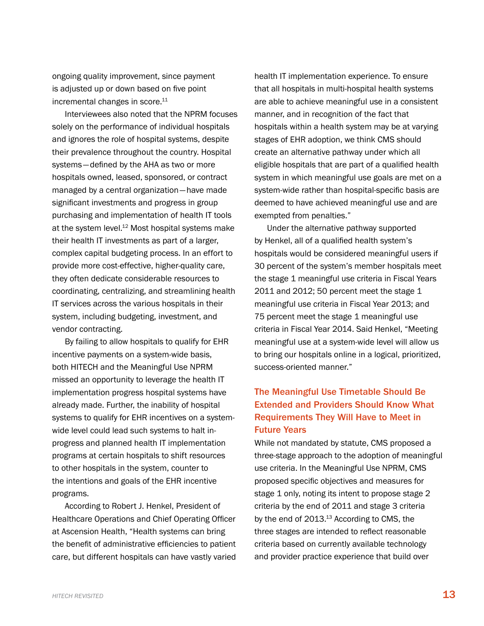<span id="page-16-0"></span>ongoing quality improvement, since payment is adjusted up or down based on five point incremental changes in score.<sup>11</sup>

Interviewees also noted that the NPRM focuses solely on the performance of individual hospitals and ignores the role of hospital systems, despite their prevalence throughout the country. Hospital systems—defined by the AHA as two or more hospitals owned, leased, sponsored, or contract managed by a central organization—have made significant investments and progress in group purchasing and implementation of health IT tools at the system level.<sup>12</sup> Most hospital systems make their health IT investments as part of a larger, complex capital budgeting process. In an effort to provide more cost-effective, higher-quality care, they often dedicate considerable resources to coordinating, centralizing, and streamlining health IT services across the various hospitals in their system, including budgeting, investment, and vendor contracting.

By failing to allow hospitals to qualify for EHR incentive payments on a system-wide basis, both HITECH and the Meaningful Use NPRM missed an opportunity to leverage the health IT implementation progress hospital systems have already made. Further, the inability of hospital systems to qualify for EHR incentives on a systemwide level could lead such systems to halt inprogress and planned health IT implementation programs at certain hospitals to shift resources to other hospitals in the system, counter to the intentions and goals of the EHR incentive programs.

According to Robert J. Henkel, President of Healthcare Operations and Chief Operating Officer at Ascension Health, "Health systems can bring the benefit of administrative efficiencies to patient care, but different hospitals can have vastly varied

health IT implementation experience. To ensure that all hospitals in multi-hospital health systems are able to achieve meaningful use in a consistent manner, and in recognition of the fact that hospitals within a health system may be at varying stages of EHR adoption, we think CMS should create an alternative pathway under which all eligible hospitals that are part of a qualified health system in which meaningful use goals are met on a system-wide rather than hospital-specific basis are deemed to have achieved meaningful use and are exempted from penalties."

Under the alternative pathway supported by Henkel, all of a qualified health system's hospitals would be considered meaningful users if 30 percent of the system's member hospitals meet the stage 1 meaningful use criteria in Fiscal Years 2011 and 2012; 50 percent meet the stage 1 meaningful use criteria in Fiscal Year 2013; and 75 percent meet the stage 1 meaningful use criteria in Fiscal Year 2014. Said Henkel, "Meeting meaningful use at a system-wide level will allow us to bring our hospitals online in a logical, prioritized, success-oriented manner."

#### The Meaningful Use Timetable Should Be Extended and Providers Should Know What Requirements They Will Have to Meet in Future Years

While not mandated by statute, CMS proposed a three-stage approach to the adoption of meaningful use criteria. In the Meaningful Use NPRM, CMS proposed specific objectives and measures for stage 1 only, noting its intent to propose stage 2 criteria by the end of 2011 and stage 3 criteria by the end of  $2013$ .<sup>13</sup> According to CMS, the three stages are intended to reflect reasonable criteria based on currently available technology and provider practice experience that build over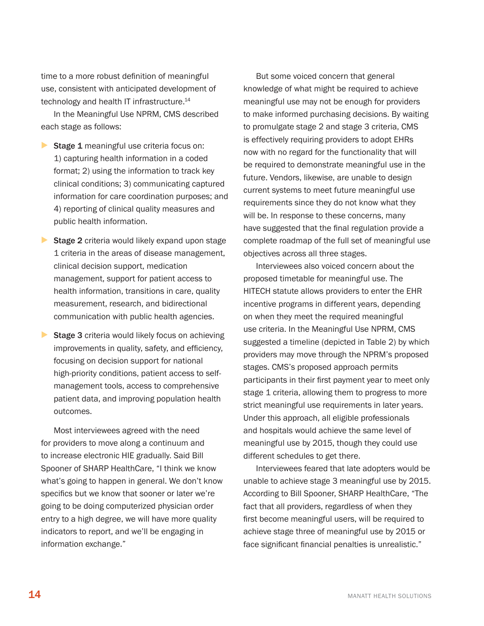time to a more robust definition of meaningful use, consistent with anticipated development of technology and health IT infrastructure.<sup>14</sup>

In the Meaningful Use NPRM, CMS described each stage as follows:

- ▶ Stage 1 meaningful use criteria focus on: 1) capturing health information in a coded format; 2) using the information to track key clinical conditions; 3) communicating captured information for care coordination purposes; and 4) reporting of clinical quality measures and public health information.
- ▶ Stage 2 criteria would likely expand upon stage 1 criteria in the areas of disease management, clinical decision support, medication management, support for patient access to health information, transitions in care, quality measurement, research, and bidirectional communication with public health agencies.
- ▶ Stage 3 criteria would likely focus on achieving improvements in quality, safety, and efficiency, focusing on decision support for national high-priority conditions, patient access to selfmanagement tools, access to comprehensive patient data, and improving population health outcomes.

Most interviewees agreed with the need for providers to move along a continuum and to increase electronic HIE gradually. Said Bill Spooner of SHARP HealthCare, "I think we know what's going to happen in general. We don't know specifics but we know that sooner or later we're going to be doing computerized physician order entry to a high degree, we will have more quality indicators to report, and we'll be engaging in information exchange."

But some voiced concern that general knowledge of what might be required to achieve meaningful use may not be enough for providers to make informed purchasing decisions. By waiting to promulgate stage 2 and stage 3 criteria, CMS is effectively requiring providers to adopt EHRs now with no regard for the functionality that will be required to demonstrate meaningful use in the future. Vendors, likewise, are unable to design current systems to meet future meaningful use requirements since they do not know what they will be. In response to these concerns, many have suggested that the final regulation provide a complete roadmap of the full set of meaningful use objectives across all three stages.

Interviewees also voiced concern about the proposed timetable for meaningful use. The HITECH statute allows providers to enter the EHR incentive programs in different years, depending on when they meet the required meaningful use criteria. In the Meaningful Use NPRM, CMS suggested a timeline (depicted in Table 2) by which providers may move through the NPRM's proposed stages. CMS's proposed approach permits participants in their first payment year to meet only stage 1 criteria, allowing them to progress to more strict meaningful use requirements in later years. Under this approach, all eligible professionals and hospitals would achieve the same level of meaningful use by 2015, though they could use different schedules to get there.

Interviewees feared that late adopters would be unable to achieve stage 3 meaningful use by 2015. According to Bill Spooner, SHARP HealthCare, "The fact that all providers, regardless of when they first become meaningful users, will be required to achieve stage three of meaningful use by 2015 or face significant financial penalties is unrealistic."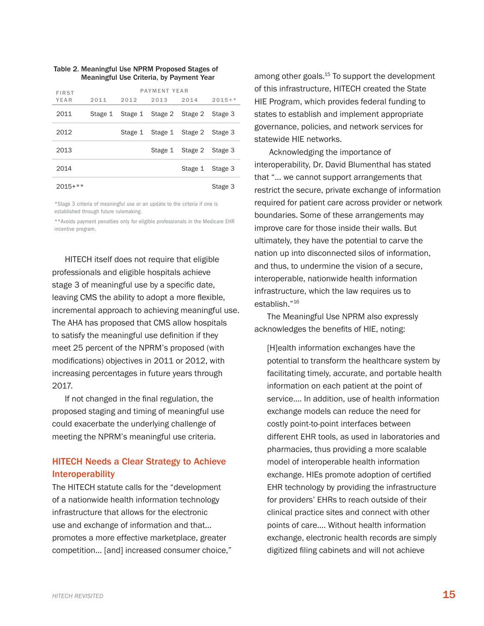#### <span id="page-18-0"></span>Table 2. Meaningful Use NPRM Proposed Stages of Meaningful Use Criteria, by Payment Year

| <b>FIRST</b> | PAYMENT YEAR |                                 |      |                         |          |  |
|--------------|--------------|---------------------------------|------|-------------------------|----------|--|
| YEAR         | 2011         | 2012                            | 2013 | 2014                    | $2015+*$ |  |
| 2011         |              | Stage 1 Stage 1 Stage 2 Stage 2 |      |                         | Stage 3  |  |
| 2012         |              |                                 |      | Stage 1 Stage 1 Stage 2 | Stage 3  |  |
| 2013         |              |                                 |      | Stage 1 Stage 2         | Stage 3  |  |
| 2014         |              |                                 |      | Stage 1 Stage 3         |          |  |
| $2015+**$    |              |                                 |      |                         | Stage 3  |  |

\*Stage 3 criteria of meaningful use or an update to the criteria if one is established through future rulemaking.

\*\*Avoids payment penalties only for eligible professionals in the Medicare EHR incentive program.

HITECH itself does not require that eligible professionals and eligible hospitals achieve stage 3 of meaningful use by a specific date, leaving CMS the ability to adopt a more flexible, incremental approach to achieving meaningful use. The AHA has proposed that CMS allow hospitals to satisfy the meaningful use definition if they meet 25 percent of the NPRM's proposed (with modifications) objectives in 2011 or 2012, with increasing percentages in future years through 2017.

If not changed in the final regulation, the proposed staging and timing of meaningful use could exacerbate the underlying challenge of meeting the NPRM's meaningful use criteria.

#### HITECH Needs a Clear Strategy to Achieve Interoperability

The HITECH statute calls for the "development of a nationwide health information technology infrastructure that allows for the electronic use and exchange of information and that… promotes a more effective marketplace, greater competition… [and] increased consumer choice,"

among other goals.<sup>15</sup> To support the development of this infrastructure, HITECH created the State HIE Program, which provides federal funding to states to establish and implement appropriate governance, policies, and network services for statewide HIE networks.

Acknowledging the importance of interoperability, Dr. David Blumenthal has stated that "… we cannot support arrangements that restrict the secure, private exchange of information required for patient care across provider or network boundaries. Some of these arrangements may improve care for those inside their walls. But ultimately, they have the potential to carve the nation up into disconnected silos of information, and thus, to undermine the vision of a secure, interoperable, nationwide health information infrastructure, which the law requires us to establish."16

The Meaningful Use NPRM also expressly acknowledges the benefits of HIE, noting:

[H]ealth information exchanges have the potential to transform the healthcare system by facilitating timely, accurate, and portable health information on each patient at the point of service.… In addition, use of health information exchange models can reduce the need for costly point-to-point interfaces between different EHR tools, as used in laboratories and pharmacies, thus providing a more scalable model of interoperable health information exchange. HIEs promote adoption of certified EHR technology by providing the infrastructure for providers' EHRs to reach outside of their clinical practice sites and connect with other points of care.… Without health information exchange, electronic health records are simply digitized filing cabinets and will not achieve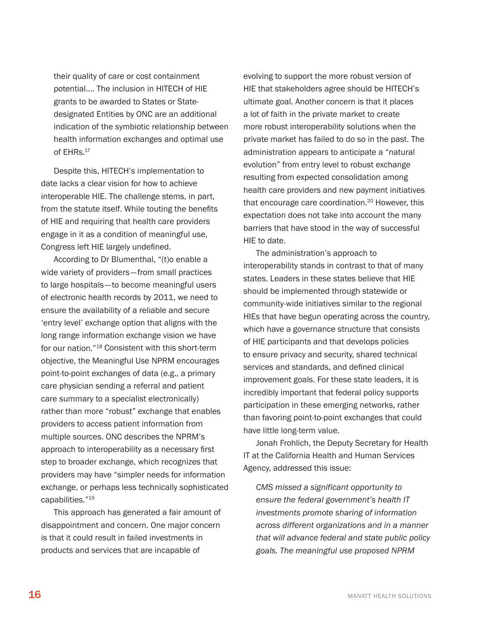their quality of care or cost containment potential.… The inclusion in HITECH of HIE grants to be awarded to States or Statedesignated Entities by ONC are an additional indication of the symbiotic relationship between health information exchanges and optimal use of EHRs.<sup>17</sup>

Despite this, HITECH's implementation to date lacks a clear vision for how to achieve interoperable HIE. The challenge stems, in part, from the statute itself. While touting the benefits of HIE and requiring that health care providers engage in it as a condition of meaningful use, Congress left HIE largely undefined.

According to Dr Blumenthal, "(t)o enable a wide variety of providers—from small practices to large hospitals—to become meaningful users of electronic health records by 2011, we need to ensure the availability of a reliable and secure 'entry level' exchange option that aligns with the long range information exchange vision we have for our nation."18 Consistent with this short-term objective, the Meaningful Use NPRM encourages point-to-point exchanges of data (e.g., a primary care physician sending a referral and patient care summary to a specialist electronically) rather than more "robust" exchange that enables providers to access patient information from multiple sources. ONC describes the NPRM's approach to interoperability as a necessary first step to broader exchange, which recognizes that providers may have "simpler needs for information exchange, or perhaps less technically sophisticated capabilities."19

This approach has generated a fair amount of disappointment and concern. One major concern is that it could result in failed investments in products and services that are incapable of

evolving to support the more robust version of HIE that stakeholders agree should be HITECH's ultimate goal. Another concern is that it places a lot of faith in the private market to create more robust interoperability solutions when the private market has failed to do so in the past. The administration appears to anticipate a "natural evolution" from entry level to robust exchange resulting from expected consolidation among health care providers and new payment initiatives that encourage care coordination.<sup>20</sup> However, this expectation does not take into account the many barriers that have stood in the way of successful HIE to date.

The administration's approach to interoperability stands in contrast to that of many states. Leaders in these states believe that HIE should be implemented through statewide or community-wide initiatives similar to the regional HIEs that have begun operating across the country, which have a governance structure that consists of HIE participants and that develops policies to ensure privacy and security, shared technical services and standards, and defined clinical improvement goals. For these state leaders, it is incredibly important that federal policy supports participation in these emerging networks, rather than favoring point-to-point exchanges that could have little long-term value.

Jonah Frohlich, the Deputy Secretary for Health IT at the California Health and Human Services Agency, addressed this issue:

*CMS missed a significant opportunity to ensure the federal government's health IT investments promote sharing of information across different organizations and in a manner that will advance federal and state public policy goals. The meaningful use proposed NPRM*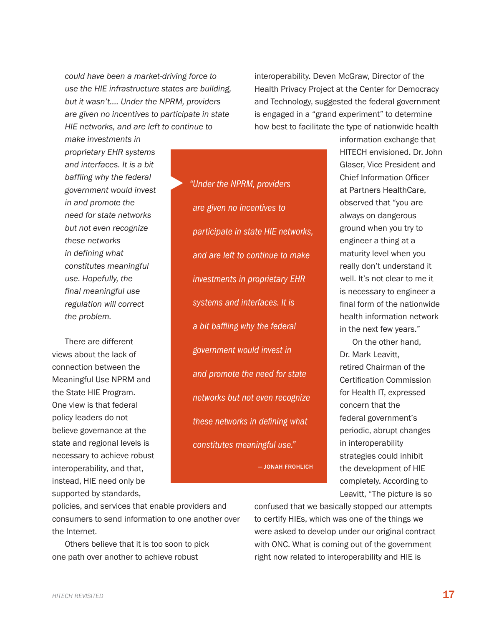*could have been a market-driving force to use the HIE infrastructure states are building, but it wasn't.… Under the NPRM, providers are given no incentives to participate in state HIE networks, and are left to continue to* 

▶

interoperability. Deven McGraw, Director of the Health Privacy Project at the Center for Democracy and Technology, suggested the federal government is engaged in a "grand experiment" to determine how best to facilitate the type of nationwide health

*make investments in proprietary EHR systems and interfaces. It is a bit baffling why the federal government would invest in and promote the need for state networks but not even recognize these networks in defining what constitutes meaningful use. Hopefully, the final meaningful use regulation will correct the problem.* 

There are different views about the lack of connection between the Meaningful Use NPRM and the State HIE Program. One view is that federal policy leaders do not believe governance at the state and regional levels is necessary to achieve robust interoperability, and that, instead, HIE need only be supported by standards,

*"Under the NPRM, providers are given no incentives to participate in state HIE networks, and are left to continue to make investments in proprietary EHR systems and interfaces. It is a bit baffling why the federal government would invest in and promote the need for state networks but not even recognize these networks in defining what constitutes meaningful use."*  — Jonah Frohlich information exchange that HITECH envisioned. Dr. John Glaser, Vice President and Chief Information Officer at Partners HealthCare, observed that "you are always on dangerous ground when you try to engineer a thing at a maturity level when you really don't understand it well. It's not clear to me it is necessary to engineer a final form of the nationwide health information network in the next few years."

On the other hand, Dr. Mark Leavitt, retired Chairman of the Certification Commission for Health IT, expressed concern that the federal government's periodic, abrupt changes in interoperability strategies could inhibit the development of HIE completely. According to Leavitt, "The picture is so

policies, and services that enable providers and consumers to send information to one another over the Internet.

Others believe that it is too soon to pick one path over another to achieve robust

confused that we basically stopped our attempts to certify HIEs, which was one of the things we were asked to develop under our original contract with ONC. What is coming out of the government right now related to interoperability and HIE is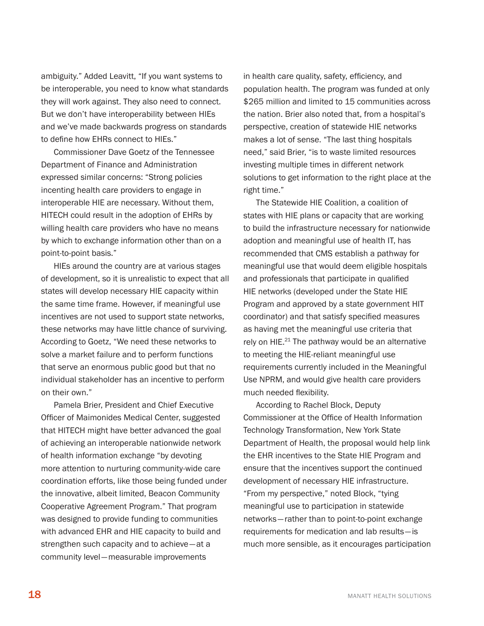<span id="page-21-0"></span>ambiguity." Added Leavitt, "If you want systems to be interoperable, you need to know what standards they will work against. They also need to connect. But we don't have interoperability between HIEs and we've made backwards progress on standards to define how EHRs connect to HIEs."

Commissioner Dave Goetz of the Tennessee Department of Finance and Administration expressed similar concerns: "Strong policies incenting health care providers to engage in interoperable HIE are necessary. Without them, HITECH could result in the adoption of EHRs by willing health care providers who have no means by which to exchange information other than on a point-to-point basis."

HIEs around the country are at various stages of development, so it is unrealistic to expect that all states will develop necessary HIE capacity within the same time frame. However, if meaningful use incentives are not used to support state networks, these networks may have little chance of surviving. According to Goetz, "We need these networks to solve a market failure and to perform functions that serve an enormous public good but that no individual stakeholder has an incentive to perform on their own."

Pamela Brier, President and Chief Executive Officer of Maimonides Medical Center, suggested that HITECH might have better advanced the goal of achieving an interoperable nationwide network of health information exchange "by devoting more attention to nurturing community-wide care coordination efforts, like those being funded under the innovative, albeit limited, Beacon Community Cooperative Agreement Program." That program was designed to provide funding to communities with advanced EHR and HIE capacity to build and strengthen such capacity and to achieve—at a community level—measurable improvements

in health care quality, safety, efficiency, and population health. The program was funded at only \$265 million and limited to 15 communities across the nation. Brier also noted that, from a hospital's perspective, creation of statewide HIE networks makes a lot of sense. "The last thing hospitals need," said Brier, "is to waste limited resources investing multiple times in different network solutions to get information to the right place at the right time."

The Statewide HIE Coalition, a coalition of states with HIE plans or capacity that are working to build the infrastructure necessary for nationwide adoption and meaningful use of health IT, has recommended that CMS establish a pathway for meaningful use that would deem eligible hospitals and professionals that participate in qualified HIE networks (developed under the State HIE Program and approved by a state government HIT coordinator) and that satisfy specified measures as having met the meaningful use criteria that rely on HIE.<sup>21</sup> The pathway would be an alternative to meeting the HIE-reliant meaningful use requirements currently included in the Meaningful Use NPRM, and would give health care providers much needed flexibility.

According to Rachel Block, Deputy Commissioner at the Office of Health Information Technology Transformation, New York State Department of Health, the proposal would help link the EHR incentives to the State HIE Program and ensure that the incentives support the continued development of necessary HIE infrastructure. "From my perspective," noted Block, "tying meaningful use to participation in statewide networks—rather than to point-to-point exchange requirements for medication and lab results—is much more sensible, as it encourages participation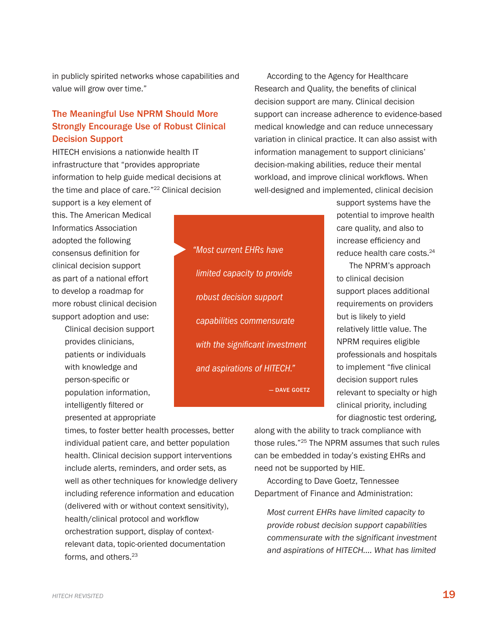in publicly spirited networks whose capabilities and value will grow over time."

#### The Meaningful Use NPRM Should More Strongly Encourage Use of Robust Clinical Decision Support

HITECH envisions a nationwide health IT infrastructure that "provides appropriate information to help guide medical decisions at the time and place of care."22 Clinical decision

▶

support is a key element of this. The American Medical Informatics Association adopted the following consensus definition for clinical decision support as part of a national effort to develop a roadmap for more robust clinical decision support adoption and use:

> Clinical decision support provides clinicians, patients or individuals with knowledge and person-specific or population information, intelligently filtered or presented at appropriate

*"Most current EHRs have limited capacity to provide robust decision support capabilities commensurate with the significant investment and aspirations of HITECH."*  — Dave Goetz

According to the Agency for Healthcare Research and Quality, the benefits of clinical decision support are many. Clinical decision support can increase adherence to evidence-based medical knowledge and can reduce unnecessary variation in clinical practice. It can also assist with information management to support clinicians' decision-making abilities, reduce their mental workload, and improve clinical workflows. When well-designed and implemented, clinical decision

> support systems have the potential to improve health care quality, and also to increase efficiency and reduce health care costs.<sup>24</sup>

The NPRM's approach to clinical decision support places additional requirements on providers but is likely to yield relatively little value. The NPRM requires eligible professionals and hospitals to implement "five clinical decision support rules relevant to specialty or high clinical priority, including for diagnostic test ordering,

times, to foster better health processes, better individual patient care, and better population health. Clinical decision support interventions include alerts, reminders, and order sets, as well as other techniques for knowledge delivery including reference information and education (delivered with or without context sensitivity), health/clinical protocol and workflow orchestration support, display of contextrelevant data, topic-oriented documentation forms, and others.<sup>23</sup>

along with the ability to track compliance with those rules."25 The NPRM assumes that such rules can be embedded in today's existing EHRs and need not be supported by HIE.

According to Dave Goetz, Tennessee Department of Finance and Administration:

*Most current EHRs have limited capacity to provide robust decision support capabilities commensurate with the significant investment and aspirations of HITECH.… What has limited*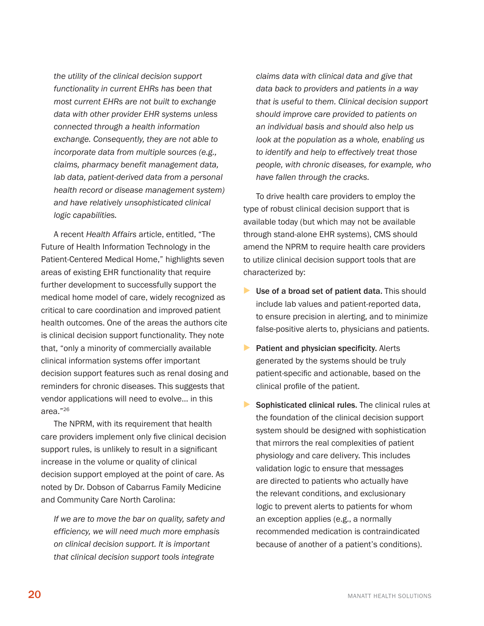<span id="page-23-0"></span>*the utility of the clinical decision support functionality in current EHRs has been that most current EHRs are not built to exchange data with other provider EHR systems unless connected through a health information exchange. Consequently, they are not able to incorporate data from multiple sources (e.g., claims, pharmacy benefit management data, lab data, patient-derived data from a personal health record or disease management system) and have relatively unsophisticated clinical logic capabilities.* 

A recent *Health Affairs* article, entitled, "The Future of Health Information Technology in the Patient-Centered Medical Home," highlights seven areas of existing EHR functionality that require further development to successfully support the medical home model of care, widely recognized as critical to care coordination and improved patient health outcomes. One of the areas the authors cite is clinical decision support functionality. They note that, "only a minority of commercially available clinical information systems offer important decision support features such as renal dosing and reminders for chronic diseases. This suggests that vendor applications will need to evolve… in this area."26

The NPRM, with its requirement that health care providers implement only five clinical decision support rules, is unlikely to result in a significant increase in the volume or quality of clinical decision support employed at the point of care. As noted by Dr. Dobson of Cabarrus Family Medicine and Community Care North Carolina:

*If we are to move the bar on quality, safety and efficiency, we will need much more emphasis on clinical decision support. It is important that clinical decision support tools integrate* 

*claims data with clinical data and give that data back to providers and patients in a way that is useful to them. Clinical decision support should improve care provided to patients on an individual basis and should also help us look at the population as a whole, enabling us to identify and help to effectively treat those people, with chronic diseases, for example, who have fallen through the cracks.*

To drive health care providers to employ the type of robust clinical decision support that is available today (but which may not be available through stand-alone EHR systems), CMS should amend the NPRM to require health care providers to utilize clinical decision support tools that are characterized by:

- Use of a broad set of patient data. This should include lab values and patient-reported data, to ensure precision in alerting, and to minimize false-positive alerts to, physicians and patients.
- ▶ Patient and physician specificity. Alerts generated by the systems should be truly patient-specific and actionable, based on the clinical profile of the patient.
- Sophisticated clinical rules. The clinical rules at the foundation of the clinical decision support system should be designed with sophistication that mirrors the real complexities of patient physiology and care delivery. This includes validation logic to ensure that messages are directed to patients who actually have the relevant conditions, and exclusionary logic to prevent alerts to patients for whom an exception applies (e.g., a normally recommended medication is contraindicated because of another of a patient's conditions).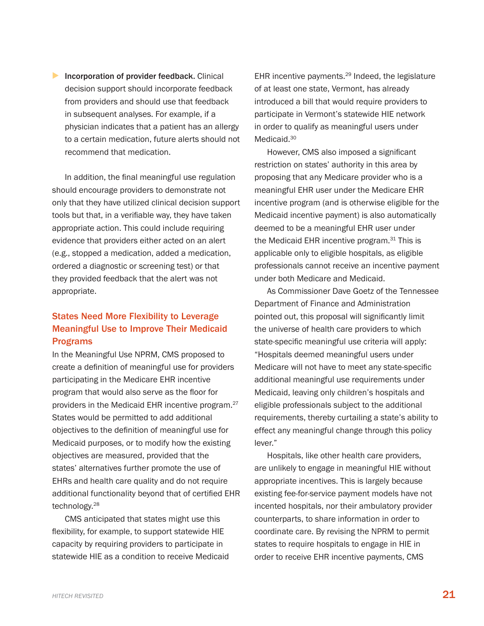<span id="page-24-0"></span>**Incorporation of provider feedback.** Clinical decision support should incorporate feedback from providers and should use that feedback in subsequent analyses. For example, if a physician indicates that a patient has an allergy to a certain medication, future alerts should not recommend that medication.

In addition, the final meaningful use regulation should encourage providers to demonstrate not only that they have utilized clinical decision support tools but that, in a verifiable way, they have taken appropriate action. This could include requiring evidence that providers either acted on an alert (e.g., stopped a medication, added a medication, ordered a diagnostic or screening test) or that they provided feedback that the alert was not appropriate.

#### States Need More Flexibility to Leverage Meaningful Use to Improve Their Medicaid Programs

In the Meaningful Use NPRM, CMS proposed to create a definition of meaningful use for providers participating in the Medicare EHR incentive program that would also serve as the floor for providers in the Medicaid EHR incentive program.27 States would be permitted to add additional objectives to the definition of meaningful use for Medicaid purposes, or to modify how the existing objectives are measured, provided that the states' alternatives further promote the use of EHRs and health care quality and do not require additional functionality beyond that of certified EHR technology.28

CMS anticipated that states might use this flexibility, for example, to support statewide HIE capacity by requiring providers to participate in statewide HIE as a condition to receive Medicaid

EHR incentive payments.<sup>29</sup> Indeed, the legislature of at least one state, Vermont, has already introduced a bill that would require providers to participate in Vermont's statewide HIE network in order to qualify as meaningful users under Medicaid.<sup>30</sup>

However, CMS also imposed a significant restriction on states' authority in this area by proposing that any Medicare provider who is a meaningful EHR user under the Medicare EHR incentive program (and is otherwise eligible for the Medicaid incentive payment) is also automatically deemed to be a meaningful EHR user under the Medicaid EHR incentive program.<sup>31</sup> This is applicable only to eligible hospitals, as eligible professionals cannot receive an incentive payment under both Medicare and Medicaid.

As Commissioner Dave Goetz of the Tennessee Department of Finance and Administration pointed out, this proposal will significantly limit the universe of health care providers to which state-specific meaningful use criteria will apply: "Hospitals deemed meaningful users under Medicare will not have to meet any state-specific additional meaningful use requirements under Medicaid, leaving only children's hospitals and eligible professionals subject to the additional requirements, thereby curtailing a state's ability to effect any meaningful change through this policy lever."

Hospitals, like other health care providers, are unlikely to engage in meaningful HIE without appropriate incentives. This is largely because existing fee-for-service payment models have not incented hospitals, nor their ambulatory provider counterparts, to share information in order to coordinate care. By revising the NPRM to permit states to require hospitals to engage in HIE in order to receive EHR incentive payments, CMS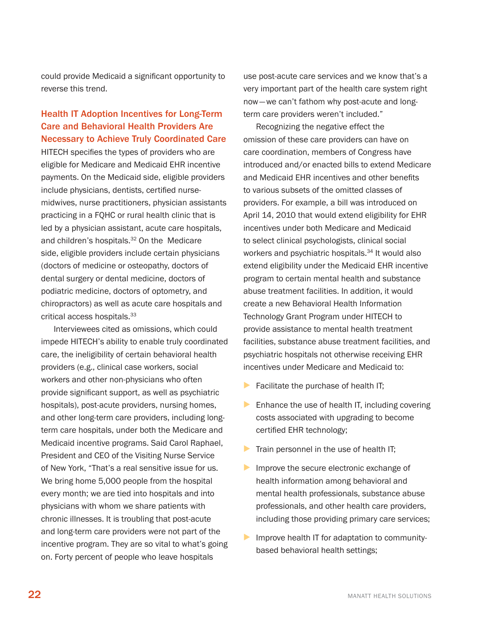could provide Medicaid a significant opportunity to reverse this trend.

#### Health IT Adoption Incentives for Long-Term Care and Behavioral Health Providers Are Necessary to Achieve Truly Coordinated Care

HITECH specifies the types of providers who are eligible for Medicare and Medicaid EHR incentive payments. On the Medicaid side, eligible providers include physicians, dentists, certified nursemidwives, nurse practitioners, physician assistants practicing in a FQHC or rural health clinic that is led by a physician assistant, acute care hospitals, and children's hospitals.<sup>32</sup> On the Medicare side, eligible providers include certain physicians (doctors of medicine or osteopathy, doctors of dental surgery or dental medicine, doctors of podiatric medicine, doctors of optometry, and chiropractors) as well as acute care hospitals and critical access hospitals.33

Interviewees cited as omissions, which could impede HITECH's ability to enable truly coordinated care, the ineligibility of certain behavioral health providers (e.g., clinical case workers, social workers and other non-physicians who often provide significant support, as well as psychiatric hospitals), post-acute providers, nursing homes, and other long-term care providers, including longterm care hospitals, under both the Medicare and Medicaid incentive programs. Said Carol Raphael, President and CEO of the Visiting Nurse Service of New York, "That's a real sensitive issue for us. We bring home 5,000 people from the hospital every month; we are tied into hospitals and into physicians with whom we share patients with chronic illnesses. It is troubling that post-acute and long-term care providers were not part of the incentive program. They are so vital to what's going on. Forty percent of people who leave hospitals

use post-acute care services and we know that's a very important part of the health care system right now—we can't fathom why post-acute and longterm care providers weren't included."

Recognizing the negative effect the omission of these care providers can have on care coordination, members of Congress have introduced and/or enacted bills to extend Medicare and Medicaid EHR incentives and other benefits to various subsets of the omitted classes of providers. For example, a bill was introduced on April 14, 2010 that would extend eligibility for EHR incentives under both Medicare and Medicaid to select clinical psychologists, clinical social workers and psychiatric hospitals.<sup>34</sup> It would also extend eligibility under the Medicaid EHR incentive program to certain mental health and substance abuse treatment facilities. In addition, it would create a new Behavioral Health Information Technology Grant Program under HITECH to provide assistance to mental health treatment facilities, substance abuse treatment facilities, and psychiatric hospitals not otherwise receiving EHR incentives under Medicare and Medicaid to:

- ▶ Facilitate the purchase of health IT;
- $\blacktriangleright$  Enhance the use of health IT, including covering costs associated with upgrading to become certified EHR technology;
- **Train personnel in the use of health IT;**
- Improve the secure electronic exchange of health information among behavioral and mental health professionals, substance abuse professionals, and other health care providers, including those providing primary care services;
- **Improve health IT for adaptation to community**based behavioral health settings;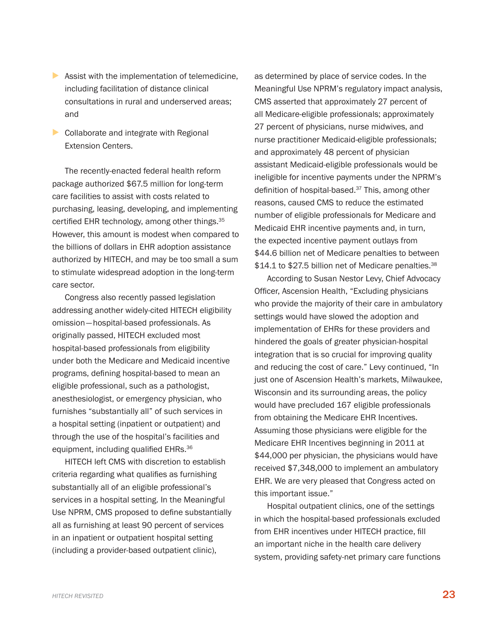- <span id="page-26-0"></span> $\triangleright$  Assist with the implementation of telemedicine, including facilitation of distance clinical consultations in rural and underserved areas; and
- ▶ Collaborate and integrate with Regional Extension Centers.

The recently-enacted federal health reform package authorized \$67.5 million for long-term care facilities to assist with costs related to purchasing, leasing, developing, and implementing certified EHR technology, among other things.<sup>35</sup> However, this amount is modest when compared to the billions of dollars in EHR adoption assistance authorized by HITECH, and may be too small a sum to stimulate widespread adoption in the long-term care sector.

Congress also recently passed legislation addressing another widely-cited HITECH eligibility omission—hospital-based professionals. As originally passed, HITECH excluded most hospital-based professionals from eligibility under both the Medicare and Medicaid incentive programs, defining hospital-based to mean an eligible professional, such as a pathologist, anesthesiologist, or emergency physician, who furnishes "substantially all" of such services in a hospital setting (inpatient or outpatient) and through the use of the hospital's facilities and equipment, including qualified EHRs.<sup>36</sup>

HITECH left CMS with discretion to establish criteria regarding what qualifies as furnishing substantially all of an eligible professional's services in a hospital setting. In the Meaningful Use NPRM, CMS proposed to define substantially all as furnishing at least 90 percent of services in an inpatient or outpatient hospital setting (including a provider-based outpatient clinic),

as determined by place of service codes. In the Meaningful Use NPRM's regulatory impact analysis, CMS asserted that approximately 27 percent of all Medicare-eligible professionals; approximately 27 percent of physicians, nurse midwives, and nurse practitioner Medicaid-eligible professionals; and approximately 48 percent of physician assistant Medicaid-eligible professionals would be ineligible for incentive payments under the NPRM's definition of hospital-based.<sup>37</sup> This, among other reasons, caused CMS to reduce the estimated number of eligible professionals for Medicare and Medicaid EHR incentive payments and, in turn, the expected incentive payment outlays from \$44.6 billion net of Medicare penalties to between \$14.1 to \$27.5 billion net of Medicare penalties.<sup>38</sup>

According to Susan Nestor Levy, Chief Advocacy Officer, Ascension Health, "Excluding physicians who provide the majority of their care in ambulatory settings would have slowed the adoption and implementation of EHRs for these providers and hindered the goals of greater physician-hospital integration that is so crucial for improving quality and reducing the cost of care." Levy continued, "In just one of Ascension Health's markets, Milwaukee, Wisconsin and its surrounding areas, the policy would have precluded 167 eligible professionals from obtaining the Medicare EHR Incentives. Assuming those physicians were eligible for the Medicare EHR Incentives beginning in 2011 at \$44,000 per physician, the physicians would have received \$7,348,000 to implement an ambulatory EHR. We are very pleased that Congress acted on this important issue."

Hospital outpatient clinics, one of the settings in which the hospital-based professionals excluded from EHR incentives under HITECH practice, fill an important niche in the health care delivery system, providing safety-net primary care functions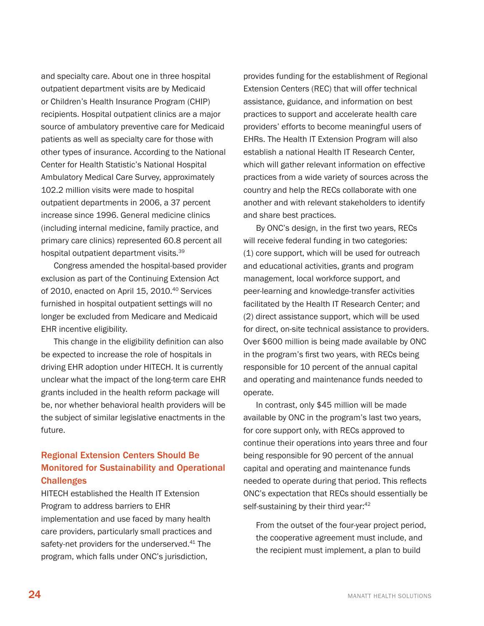and specialty care. About one in three hospital outpatient department visits are by Medicaid or Children's Health Insurance Program (CHIP) recipients. Hospital outpatient clinics are a major source of ambulatory preventive care for Medicaid patients as well as specialty care for those with other types of insurance. According to the National Center for Health Statistic's National Hospital Ambulatory Medical Care Survey, approximately 102.2 million visits were made to hospital outpatient departments in 2006, a 37 percent increase since 1996. General medicine clinics (including internal medicine, family practice, and primary care clinics) represented 60.8 percent all hospital outpatient department visits.39

Congress amended the hospital-based provider exclusion as part of the Continuing Extension Act of 2010, enacted on April 15, 2010.<sup>40</sup> Services furnished in hospital outpatient settings will no longer be excluded from Medicare and Medicaid EHR incentive eligibility.

This change in the eligibility definition can also be expected to increase the role of hospitals in driving EHR adoption under HITECH. It is currently unclear what the impact of the long-term care EHR grants included in the health reform package will be, nor whether behavioral health providers will be the subject of similar legislative enactments in the future.

#### Regional Extension Centers Should Be Monitored for Sustainability and Operational Challenges

HITECH established the Health IT Extension Program to address barriers to EHR implementation and use faced by many health care providers, particularly small practices and safety-net providers for the underserved.<sup>41</sup> The program, which falls under ONC's jurisdiction,

provides funding for the establishment of Regional Extension Centers (REC) that will offer technical assistance, guidance, and information on best practices to support and accelerate health care providers' efforts to become meaningful users of EHRs. The Health IT Extension Program will also establish a national Health IT Research Center, which will gather relevant information on effective practices from a wide variety of sources across the country and help the RECs collaborate with one another and with relevant stakeholders to identify and share best practices.

By ONC's design, in the first two years, RECs will receive federal funding in two categories: (1) core support, which will be used for outreach and educational activities, grants and program management, local workforce support, and peer-learning and knowledge-transfer activities facilitated by the Health IT Research Center; and (2) direct assistance support, which will be used for direct, on-site technical assistance to providers. Over \$600 million is being made available by ONC in the program's first two years, with RECs being responsible for 10 percent of the annual capital and operating and maintenance funds needed to operate.

In contrast, only \$45 million will be made available by ONC in the program's last two years, for core support only, with RECs approved to continue their operations into years three and four being responsible for 90 percent of the annual capital and operating and maintenance funds needed to operate during that period. This reflects ONC's expectation that RECs should essentially be self-sustaining by their third year:<sup>42</sup>

From the outset of the four-year project period, the cooperative agreement must include, and the recipient must implement, a plan to build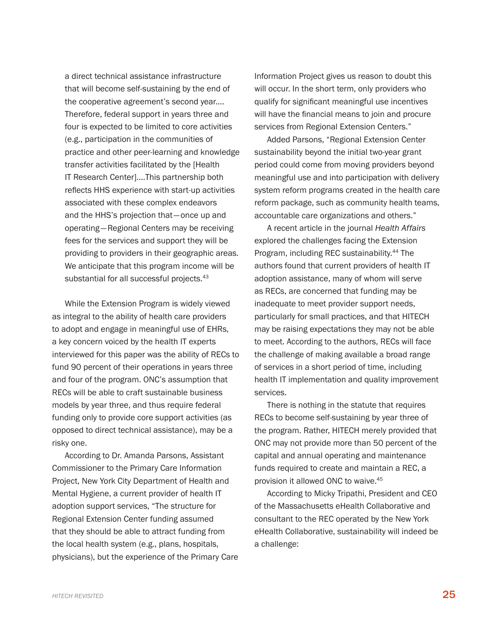a direct technical assistance infrastructure that will become self-sustaining by the end of the cooperative agreement's second year.… Therefore, federal support in years three and four is expected to be limited to core activities (e.g., participation in the communities of practice and other peer-learning and knowledge transfer activities facilitated by the [Health IT Research Center].…This partnership both reflects HHS experience with start-up activities associated with these complex endeavors and the HHS's projection that—once up and operating— Regional Centers may be receiving fees for the services and support they will be providing to providers in their geographic areas. We anticipate that this program income will be substantial for all successful projects.<sup>43</sup>

While the Extension Program is widely viewed as integral to the ability of health care providers to adopt and engage in meaningful use of EHRs, a key concern voiced by the health IT experts interviewed for this paper was the ability of RECs to fund 90 percent of their operations in years three and four of the program. ONC's assumption that RECs will be able to craft sustainable business models by year three, and thus require federal funding only to provide core support activities (as opposed to direct technical assistance), may be a risky one.

According to Dr. Amanda Parsons, Assistant Commissioner to the Primary Care Information Project, New York City Department of Health and Mental Hygiene, a current provider of health IT adoption support services, "The structure for Regional Extension Center funding assumed that they should be able to attract funding from the local health system (e.g., plans, hospitals, physicians), but the experience of the Primary Care

Information Project gives us reason to doubt this will occur. In the short term, only providers who qualify for significant meaningful use incentives will have the financial means to join and procure services from Regional Extension Centers."

Added Parsons, "Regional Extension Center sustainability beyond the initial two-year grant period could come from moving providers beyond meaningful use and into participation with delivery system reform programs created in the health care reform package, such as community health teams, accountable care organizations and others."

A recent article in the journal *Health Affairs* explored the challenges facing the Extension Program, including REC sustainability.<sup>44</sup> The authors found that current providers of health IT adoption assistance, many of whom will serve as RECs, are concerned that funding may be inadequate to meet provider support needs, particularly for small practices, and that HITECH may be raising expectations they may not be able to meet. According to the authors, RECs will face the challenge of making available a broad range of services in a short period of time, including health IT implementation and quality improvement services.

There is nothing in the statute that requires RECs to become self-sustaining by year three of the program. Rather, HITECH merely provided that ONC may not provide more than 50 percent of the capital and annual operating and maintenance funds required to create and maintain a REC, a provision it allowed ONC to waive.<sup>45</sup>

According to Micky Tripathi, President and CEO of the Massachusetts eHealth Collaborative and consultant to the REC operated by the New York eHealth Collaborative, sustainability will indeed be a challenge: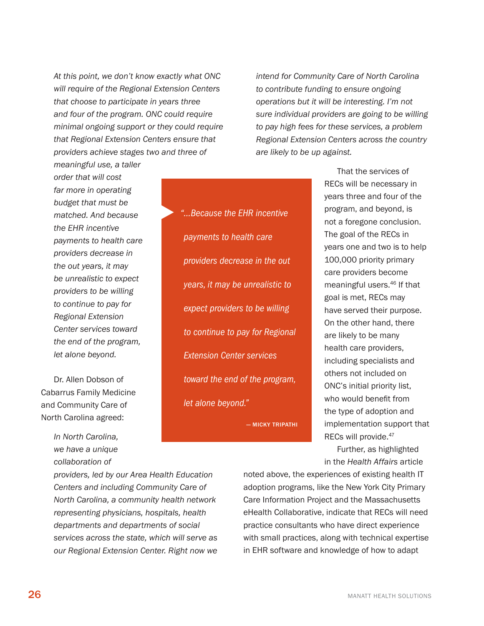<span id="page-29-0"></span>*At this point, we don't know exactly what ONC will require of the Regional Extension Centers that choose to participate in years three and four of the program. ONC could require minimal ongoing support or they could require that Regional Extension Centers ensure that providers achieve stages two and three of* 

▶

*intend for Community Care of North Carolina to contribute funding to ensure ongoing operations but it will be interesting. I'm not sure individual providers are going to be willing to pay high fees for these services, a problem Regional Extension Centers across the country are likely to be up against.*

*meaningful use, a taller order that will cost far more in operating budget that must be matched. And because the EHR incentive payments to health care providers decrease in the out years, it may be unrealistic to expect providers to be willing to continue to pay for Regional Extension Center services toward the end of the program, let alone beyond.*

Dr. Allen Dobson of Cabarrus Family Medicine and Community Care of North Carolina agreed:

> *In North Carolina, we have a unique collaboration of*

*"…Because the EHR incentive payments to health care providers decrease in the out years, it may be unrealistic to expect providers to be willing to continue to pay for Regional Extension Center services toward the end of the program, let alone beyond."* 

— Micky Tripathi

That the services of RECs will be necessary in years three and four of the program, and beyond, is not a foregone conclusion. The goal of the RECs in years one and two is to help 100,000 priority primary care providers become meaningful users.46 If that goal is met, RECs may have served their purpose. On the other hand, there are likely to be many health care providers, including specialists and others not included on ONC's initial priority list, who would benefit from the type of adoption and implementation support that RECs will provide.<sup>47</sup>

Further, as highlighted in the *Health Affairs* article

*providers, led by our Area Health Education Centers and including Community Care of North Carolina, a community health network representing physicians, hospitals, health departments and departments of social services across the state, which will serve as our Regional Extension Center. Right now we* 

noted above, the experiences of existing health IT adoption programs, like the New York City Primary Care Information Project and the Massachusetts eHealth Collaborative, indicate that RECs will need practice consultants who have direct experience with small practices, along with technical expertise in EHR software and knowledge of how to adapt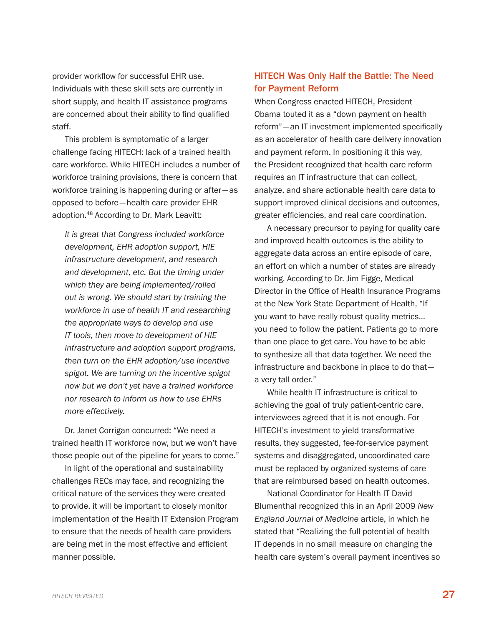provider workflow for successful EHR use. Individuals with these skill sets are currently in short supply, and health IT assistance programs are concerned about their ability to find qualified staff.

This problem is symptomatic of a larger challenge facing HITECH: lack of a trained health care workforce. While HITECH includes a number of workforce training provisions, there is concern that workforce training is happening during or after—as opposed to before—health care provider EHR adoption.48 According to Dr. Mark Leavitt:

*It is great that Congress included workforce development, EHR adoption support, HIE infrastructure development, and research and development, etc. But the timing under which they are being implemented/rolled out is wrong. We should start by training the workforce in use of health IT and researching the appropriate ways to develop and use IT tools, then move to development of HIE infrastructure and adoption support programs, then turn on the EHR adoption/use incentive spigot. We are turning on the incentive spigot now but we don't yet have a trained workforce nor research to inform us how to use EHRs more effectively.* 

Dr. Janet Corrigan concurred: "We need a trained health IT workforce now, but we won't have those people out of the pipeline for years to come."

In light of the operational and sustainability challenges RECs may face, and recognizing the critical nature of the services they were created to provide, it will be important to closely monitor implementation of the Health IT Extension Program to ensure that the needs of health care providers are being met in the most effective and efficient manner possible.

#### HITECH Was Only Half the Battle: The Need for Payment Reform

When Congress enacted HITECH, President Obama touted it as a "down payment on health reform"—an IT investment implemented specifically as an accelerator of health care delivery innovation and payment reform. In positioning it this way, the President recognized that health care reform requires an IT infrastructure that can collect, analyze, and share actionable health care data to support improved clinical decisions and outcomes, greater efficiencies, and real care coordination.

A necessary precursor to paying for quality care and improved health outcomes is the ability to aggregate data across an entire episode of care, an effort on which a number of states are already working. According to Dr. Jim Figge, Medical Director in the Office of Health Insurance Programs at the New York State Department of Health, "If you want to have really robust quality metrics… you need to follow the patient. Patients go to more than one place to get care. You have to be able to synthesize all that data together. We need the infrastructure and backbone in place to do that a very tall order."

While health IT infrastructure is critical to achieving the goal of truly patient-centric care, interviewees agreed that it is not enough. For HITECH's investment to yield transformative results, they suggested, fee-for-service payment systems and disaggregated, uncoordinated care must be replaced by organized systems of care that are reimbursed based on health outcomes.

National Coordinator for Health IT David Blumenthal recognized this in an April 2009 *New England Journal of Medicine* article, in which he stated that "Realizing the full potential of health IT depends in no small measure on changing the health care system's overall payment incentives so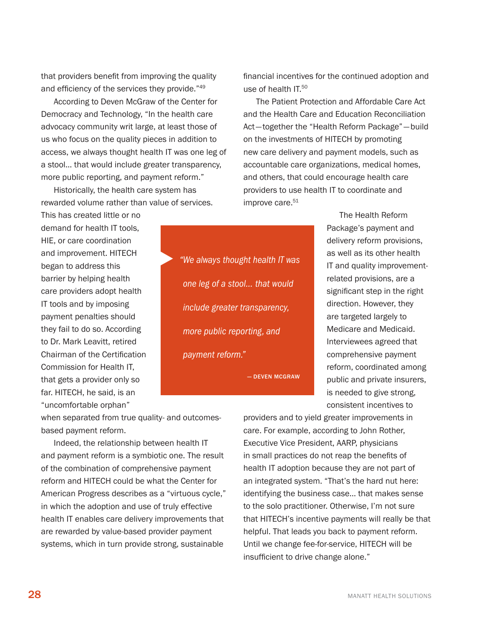that providers benefit from improving the quality and efficiency of the services they provide."<sup>49</sup>

According to Deven McGraw of the Center for Democracy and Technology, "In the health care advocacy community writ large, at least those of us who focus on the quality pieces in addition to access, we always thought health IT was one leg of a stool… that would include greater transparency, more public reporting, and payment reform."

Historically, the health care system has rewarded volume rather than value of services.

▶

This has created little or no demand for health IT tools, HIE, or care coordination and improvement. HITECH began to address this barrier by helping health care providers adopt health IT tools and by imposing payment penalties should they fail to do so. According to Dr. Mark Leavitt, retired Chairman of the Certification Commission for Health IT, that gets a provider only so far. HITECH, he said, is an "uncomfortable orphan"

*"We always thought health IT was one leg of a stool… that would include greater transparency, more public reporting, and payment reform."* 

— Deven McGraw

financial incentives for the continued adoption and use of health IT. 50

The Patient Protection and Affordable Care Act and the Health Care and Education Reconciliation Act—together the "Health Reform Package"—build on the investments of HITECH by promoting new care delivery and payment models, such as accountable care organizations, medical homes, and others, that could encourage health care providers to use health IT to coordinate and improve care.<sup>51</sup>

> The Health Reform Package's payment and delivery reform provisions, as well as its other health IT and quality improvementrelated provisions, are a significant step in the right direction. However, they are targeted largely to Medicare and Medicaid. Interviewees agreed that comprehensive payment reform, coordinated among public and private insurers, is needed to give strong, consistent incentives to

when separated from true quality- and outcomesbased payment reform.

Indeed, the relationship between health IT and payment reform is a symbiotic one. The result of the combination of comprehensive payment reform and HITECH could be what the Center for American Progress describes as a "virtuous cycle," in which the adoption and use of truly effective health IT enables care delivery improvements that are rewarded by value-based provider payment systems, which in turn provide strong, sustainable

providers and to yield greater improvements in care. For example, according to John Rother, Executive Vice President, AARP, physicians in small practices do not reap the benefits of health IT adoption because they are not part of an integrated system. "That's the hard nut here: identifying the business case… that makes sense to the solo practitioner. Otherwise, I'm not sure that HITECH's incentive payments will really be that helpful. That leads you back to payment reform. Until we change fee-for-service, HITECH will be insufficient to drive change alone."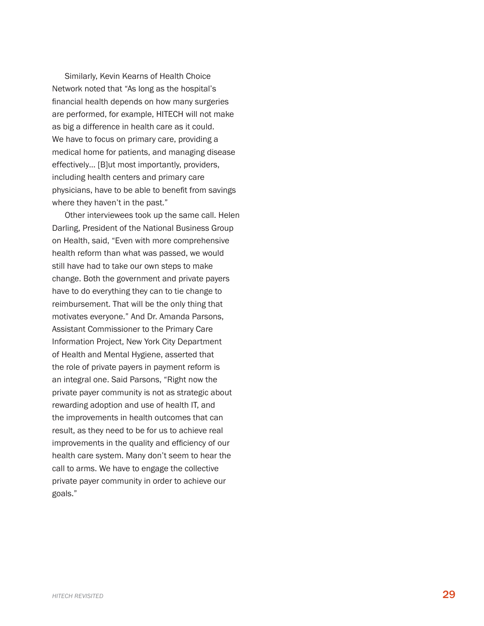Similarly, Kevin Kearns of Health Choice Network noted that " As long as the hospital's financial health depends on how many surgeries are performed, for example, HITECH will not make as big a difference in health care as it could. We have to focus on primary care, providing a medical home for patients, and managing disease effectively… [ B]ut most importantly, providers, including health centers and primary care physicians, have to be able to benefit from savings

where they haven't in the past."<br>Other interviewees took up the same call. Helen<br>Darling, President of the National Business Group on Health, said, " Even with more comprehensive health reform than what was passed, we would still have had to take our own steps to make change. Both the government and private payers have to do everything they can to tie change to reimbursement. That will be the only thing that motivates everyone." And Dr. Amanda Parsons, Assistant Commissioner to the Primary Care Information Project, New York City Department of Health and Mental Hygiene, asserted that the role of private payers in payment reform is an integral one. Said Parsons, " Right now the private payer community is not as strategic about rewarding adoption and use of health I T, and the improvements in health outcomes that can result, as they need to be for us to achieve real improvements in the quality and efficiency of our health care system. Many don't seem to hear the call to arms. We have to engage the collective private payer community in order to achieve our goals."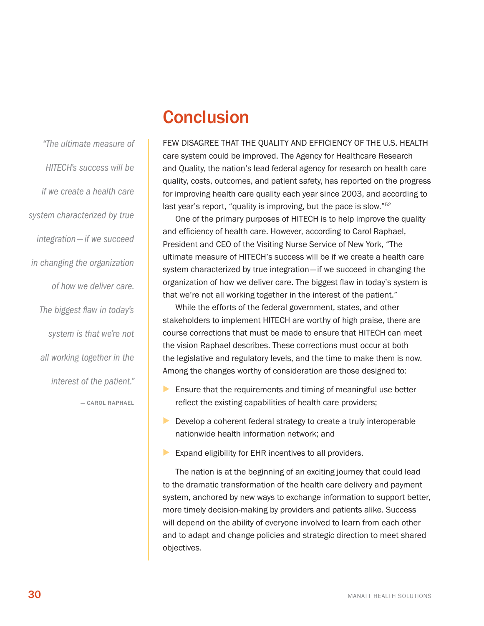<span id="page-33-0"></span>*"The ultimate measure of HITECH's success will be if we create a health care system characterized by true integration—if we succeed in changing the organization of how we deliver care. The biggest flaw in today's system is that we're not* 

*all working together in the* 

*interest of the patient."* 

— Carol Raphael

## Conclusion

Few disagree that the quality and efficiency of the U.S. health care system could be improved. The Agency for Healthcare Research and Quality, the nation's lead federal agency for research on health care quality, costs, outcomes, and patient safety, has reported on the progress for improving health care quality each year since 2003, and according to last year's report, "quality is improving, but the pace is slow."<sup>52</sup>

One of the primary purposes of HITECH is to help improve the quality and efficiency of health care. However, according to Carol Raphael, President and CEO of the Visiting Nurse Service of New York, "The ultimate measure of HITECH's success will be if we create a health care system characterized by true integration—if we succeed in changing the organization of how we deliver care. The biggest flaw in today's system is that we're not all working together in the interest of the patient."

While the efforts of the federal government, states, and other stakeholders to implement HITECH are worthy of high praise, there are course corrections that must be made to ensure that HITECH can meet the vision Raphael describes. These corrections must occur at both the legislative and regulatory levels, and the time to make them is now. Among the changes worthy of consideration are those designed to:

- $\blacktriangleright$  Ensure that the requirements and timing of meaningful use better reflect the existing capabilities of health care providers;
- ▶ Develop a coherent federal strategy to create a truly interoperable nationwide health information network; and
- ▶ Expand eligibility for EHR incentives to all providers.

The nation is at the beginning of an exciting journey that could lead to the dramatic transformation of the health care delivery and payment system, anchored by new ways to exchange information to support better, more timely decision-making by providers and patients alike. Success will depend on the ability of everyone involved to learn from each other and to adapt and change policies and strategic direction to meet shared objectives.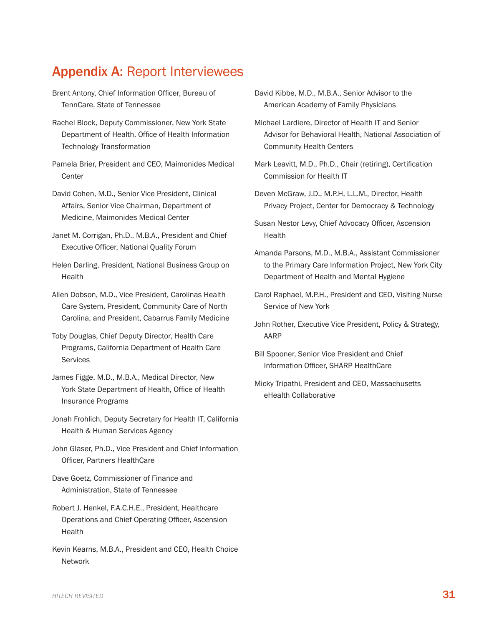### <span id="page-34-0"></span>Appendix A: Report Interviewees

- Brent Antony, Chief Information Officer, Bureau of TennCare, State of Tennessee
- Rachel Block, Deputy Commissioner, New York State Department of Health, Office of Health Information Technology Transformation
- Pamela Brier, President and CEO, Maimonides Medical **Center**

David Cohen, M.D., Senior Vice President, Clinical Affairs, Senior Vice Chairman, Department of Medicine, Maimonides Medical Center

- Janet M. Corrigan, Ph.D., M.B.A., President and Chief Executive Officer, National Quality Forum
- Helen Darling, President, National Business Group on **Health**
- Allen Dobson, M.D., Vice President, Carolinas Health Care System, President, Community Care of North Carolina, and President, Cabarrus Family Medicine
- Toby Douglas, Chief Deputy Director, Health Care Programs, California Department of Health Care **Services**
- James Figge, M.D., M.B.A., Medical Director, New York State Department of Health, Office of Health Insurance Programs
- Jonah Frohlich, Deputy Secretary for Health IT, California Health & Human Services Agency
- John Glaser, Ph.D., Vice President and Chief Information Officer, Partners HealthCare

Dave Goetz, Commissioner of Finance and Administration, State of Tennessee

- Robert J. Henkel, F.A.C.H.E., President, Healthcare Operations and Chief Operating Officer, Ascension Health
- Kevin Kearns, M.B.A., President and CEO, Health Choice Network
- David Kibbe, M.D., M.B.A., Senior Advisor to the American Academy of Family Physicians
- Michael Lardiere, Director of Health IT and Senior Advisor for Behavioral Health, National Association of Community Health Centers
- Mark Leavitt, M.D., Ph.D., Chair (retiring), Certification Commission for Health IT
- Deven McGraw, J.D., M.P.H, L.L.M., Director, Health Privacy Project, Center for Democracy & Technology
- Susan Nestor Levy, Chief Advocacy Officer, Ascension Health
- Amanda Parsons, M.D., M.B.A., Assistant Commissioner to the Primary Care Information Project, New York City Department of Health and Mental Hygiene
- Carol Raphael, M.P.H., President and CEO, Visiting Nurse Service of New York
- John Rother, Executive Vice President, Policy & Strategy, AARP
- Bill Spooner, Senior Vice President and Chief Information Officer, SHARP HealthCare
- Micky Tripathi, President and CEO, Massachusetts eHealth Collaborative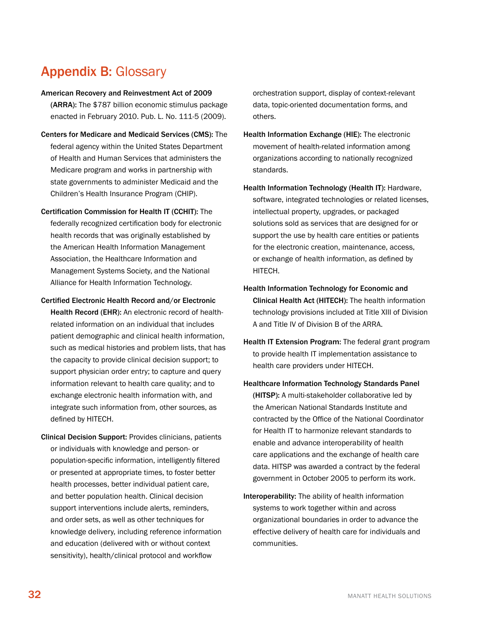## <span id="page-35-0"></span>Appendix B: Glossary

#### American Recovery and Reinvestment Act of 2009

(ARRA): The \$787 billion economic stimulus package enacted in February 2010. Pub. L. No. 111-5 (2009).

- Centers for Medicare and Medicaid Services (CMS): The federal agency within the United States Department of Health and Human Services that administers the Medicare program and works in partnership with state governments to administer Medicaid and the Children's Health Insurance Program (CHIP).
- Certification Commission for Health IT (CCHIT): The federally recognized certification body for electronic health records that was originally established by the American Health Information Management Association, the Healthcare Information and Management Systems Society, and the National Alliance for Health Information Technology.
- Certified Electronic Health Record and/or Electronic Health Record (EHR): An electronic record of healthrelated information on an individual that includes patient demographic and clinical health information, such as medical histories and problem lists, that has the capacity to provide clinical decision support; to support physician order entry; to capture and query information relevant to health care quality; and to exchange electronic health information with, and integrate such information from, other sources, as defined by HITECH.
- Clinical Decision Support: Provides clinicians, patients or individuals with knowledge and person- or population-specific information, intelligently filtered or presented at appropriate times, to foster better health processes, better individual patient care, and better population health. Clinical decision support interventions include alerts, reminders, and order sets, as well as other techniques for knowledge delivery, including reference information and education (delivered with or without context sensitivity), health/clinical protocol and workflow

orchestration support, display of context-relevant data, topic-oriented documentation forms, and others.

- Health Information Exchange (HIE): The electronic movement of health-related information among organizations according to nationally recognized standards.
- Health Information Technology (Health IT): Hardware, software, integrated technologies or related licenses, intellectual property, upgrades, or packaged solutions sold as services that are designed for or support the use by health care entities or patients for the electronic creation, maintenance, access, or exchange of health information, as defined by HITECH.
- Health Information Technology for Economic and Clinical Health Act (HITECH): The health information technology provisions included at Title XIII of Division A and Title IV of Division B of the ARRA.
- Health IT Extension Program: The federal grant program to provide health IT implementation assistance to health care providers under HITECH.
- Healthcare Information Technology Standards Panel (HITSP): A multi-stakeholder collaborative led by the American National Standards Institute and contracted by the Office of the National Coordinator for Health IT to harmonize relevant standards to enable and advance interoperability of health care applications and the exchange of health care data. HITSP was awarded a contract by the federal government in October 2005 to perform its work.
- Interoperability: The ability of health information systems to work together within and across organizational boundaries in order to advance the effective delivery of health care for individuals and communities.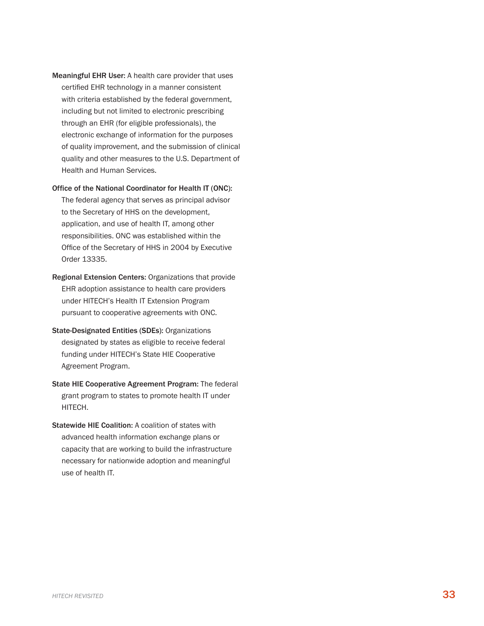Meaningful EHR User: A health care provider that uses certified EHR technology in a manner consistent with criteria established by the federal government, including but not limited to electronic prescribing through an EHR (for eligible professionals), the electronic exchange of information for the purposes of quality improvement, and the submission of clinical quality and other measures to the U.S. Department of Health and Human Services.

#### Office of the National Coordinator for Health IT (ONC):

The federal agency that serves as principal advisor to the Secretary of HHS on the development, application, and use of health IT, among other responsibilities. ONC was established within the Office of the Secretary of HHS in 2004 by Executive Order 13335.

- Regional Extension Centers: Organizations that provide EHR adoption assistance to health care providers under HITECH's Health IT Extension Program pursuant to cooperative agreements with ONC.
- State-Designated Entities (SDEs): Organizations designated by states as eligible to receive federal funding under HITECH's State HIE Cooperative Agreement Program.
- State HIE Cooperative Agreement Program: The federal grant program to states to promote health IT under HITECH.
- Statewide HIE Coalition: A coalition of states with advanced health information exchange plans or capacity that are working to build the infrastructure necessary for nationwide adoption and meaningful use of health IT.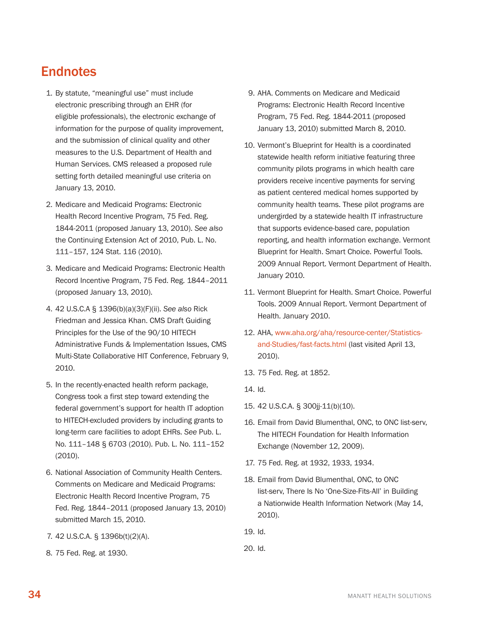### <span id="page-37-0"></span>**Endnotes**

- 1. By statute, "meaningful use" must include electronic prescribing through an EHR (for eligible professionals), the electronic exchange of information for the purpose of quality improvement, and the submission of clinical quality and other measures to the U.S. Department of Health and Human Services. CMS released a proposed rule setting forth detailed meaningful use criteria on January 13, 2010.
- 2. Medicare and Medicaid Programs: Electronic Health Record Incentive Program, 75 Fed. Reg. 1844-2011 (proposed January 13, 2010). *See also* the Continuing Extension Act of 2010, Pub. L. No. 111–157, 124 Stat. 116 (2010).
- 3. Medicare and Medicaid Programs: Electronic Health Record Incentive Program, 75 Fed. Reg. 1844–2011 (proposed January 13, 2010).
- 4. 42 U.S.C.A § 1396(b)(a)(3)(F)(ii). *See also* Rick Friedman and Jessica Khan. CMS Draft Guiding Principles for the Use of the 90/10 HITECH Administrative Funds & Implementation Issues, CMS Multi-State Collaborative HIT Conference, February 9, 2010.
- 5. In the recently-enacted health reform package, Congress took a first step toward extending the federal government's support for health IT adoption to HITECH-excluded providers by including grants to long-term care facilities to adopt EHRs. *See* Pub. L. No. 111–148 § 6703 (2010). Pub. L. No. 111–152 (2010).
- 6. National Association of Community Health Centers. Comments on Medicare and Medicaid Programs: Electronic Health Record Incentive Program, 75 Fed. Reg. 1844–2011 (proposed January 13, 2010) submitted March 15, 2010.
- 7. 42 U.S.C.A. § 1396b(t)(2)(A).
- 8. 75 Fed. Reg. at 1930.
- 9. AHA. Comments on Medicare and Medicaid Programs: Electronic Health Record Incentive Program, 75 Fed. Reg. 1844-2011 (proposed January 13, 2010) submitted March 8, 2010.
- 10. Vermont's Blueprint for Health is a coordinated statewide health reform initiative featuring three community pilots programs in which health care providers receive incentive payments for serving as patient centered medical homes supported by community health teams. These pilot programs are undergirded by a statewide health IT infrastructure that supports evidence-based care, population reporting, and health information exchange. Vermont Blueprint for Health. Smart Choice. Powerful Tools. 2009 Annual Report. Vermont Department of Health. January 2010.
- 11. Vermont Blueprint for Health. Smart Choice. Powerful Tools. 2009 Annual Report. Vermont Department of Health. January 2010.
- 12. AHA, [www.aha.org/aha/resource-center/Statistics](http://www.aha.org/aha/resource-center/Statistics-and-Studies/fast-facts.html)[and-Studies/fast-facts.html](http://www.aha.org/aha/resource-center/Statistics-and-Studies/fast-facts.html) (last visited April 13, 2010).
- 13. 75 Fed. Reg. at 1852.
- 14. Id.
- 15. 42 U.S.C.A. § 300jj-11(b)(10).
- 16. Email from David Blumenthal, ONC, to ONC list-serv, The HITECH Foundation for Health Information Exchange (November 12, 2009).
- 17. 75 Fed. Reg. at 1932, 1933, 1934.
- 18. Email from David Blumenthal, ONC, to ONC list-serv, There Is No 'One-Size-Fits-All' in Building a Nationwide Health Information Network (May 14, 2010).
- 19. Id.
- 20. Id.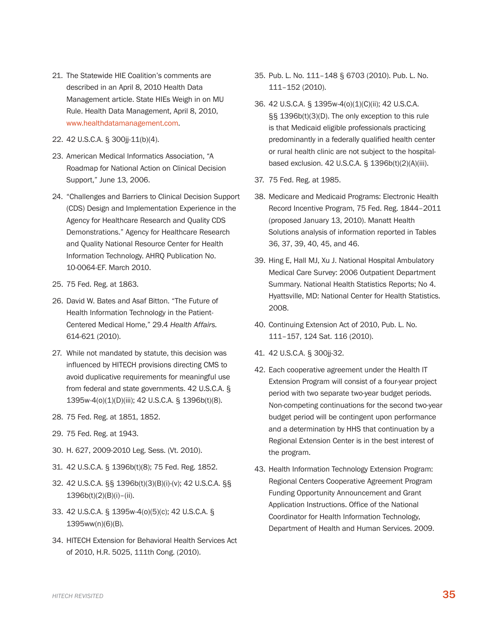- 21. The Statewide HIE Coalition's comments are described in an April 8, 2010 Health Data Management article. State HIEs Weigh in on MU Rule. Health Data Management, April 8, 2010, [www.healthdatamanagement.com.](Http://www.healthdatamanagement.com)
- 22. 42 U.S.C.A. § 300jj-11(b)(4).
- 23. American Medical Informatics Association, "A Roadmap for National Action on Clinical Decision Support," June 13, 2006.
- 24. "Challenges and Barriers to Clinical Decision Support (CDS) Design and Implementation Experience in the Agency for Healthcare Research and Quality CDS Demonstrations." Agency for Healthcare Research and Quality National Resource Center for Health Information Technology. AHRQ Publication No. 10-0064-EF. March 2010.
- 25. 75 Fed. Reg. at 1863.
- 26. David W. Bates and Asaf Bitton. "The Future of Health Information Technology in the Patient-Centered Medical Home," 29.4 *Health Affairs.* 614-621 (2010).
- 27. While not mandated by statute, this decision was influenced by HITECH provisions directing CMS to avoid duplicative requirements for meaningful use from federal and state governments. 42 U.S.C.A. § 1395w-4(o)(1)(D)(iii); 42 U.S.C.A. § 1396b(t)(8).
- 28. 75 Fed. Reg. at 1851, 1852.
- 29. 75 Fed. Reg. at 1943.
- 30. H. 627, 2009-2010 Leg. Sess. (Vt. 2010).
- 31. 42 U.S.C.A. § 1396b(t)(8); 75 Fed. Reg. 1852.
- 32. 42 U.S.C.A. §§ 1396b(t)(3)(B)(i)-(v); 42 U.S.C.A. §§ 1396b(t)(2)(B)(i)–(ii).
- 33. 42 U.S.C.A. § 1395w-4(o)(5)(c); 42 U.S.C.A. § 1395ww(n)(6)(B).
- 34. HITECH Extension for Behavioral Health Services Act of 2010, H.R. 5025, 111th Cong. (2010).
- 35. Pub. L. No. 111–148 § 6703 (2010). Pub. L. No. 111–152 (2010).
- 36. 42 U.S.C.A. § 1395w-4(o)(1)(C)(ii); 42 U.S.C.A. §§ 1396b(t)(3)(D). The only exception to this rule is that Medicaid eligible professionals practicing predominantly in a federally qualified health center or rural health clinic are not subject to the hospitalbased exclusion. 42 U.S.C.A. § 1396b(t)(2)(A)(iii).
- 37. 75 Fed. Reg. at 1985.
- 38. Medicare and Medicaid Programs: Electronic Health Record Incentive Program, 75 Fed. Reg. 1844–2011 (proposed January 13, 2010). Manatt Health Solutions analysis of information reported in Tables 36, 37, 39, 40, 45, and 46.
- 39. Hing E, Hall MJ, Xu J. National Hospital Ambulatory Medical Care Survey: 2006 Outpatient Department Summary. National Health Statistics Reports; No 4. Hyattsville, MD: National Center for Health Statistics. 2008.
- 40. Continuing Extension Act of 2010, Pub. L. No. 111–157, 124 Sat. 116 (2010).
- 41. 42 U.S.C.A. § 300jj-32.
- 42. Each cooperative agreement under the Health IT Extension Program will consist of a four-year project period with two separate two-year budget periods. Non-competing continuations for the second two-year budget period will be contingent upon performance and a determination by HHS that continuation by a Regional Extension Center is in the best interest of the program.
- 43. Health Information Technology Extension Program: Regional Centers Cooperative Agreement Program Funding Opportunity Announcement and Grant Application Instructions. Office of the National Coordinator for Health Information Technology, Department of Health and Human Services. 2009.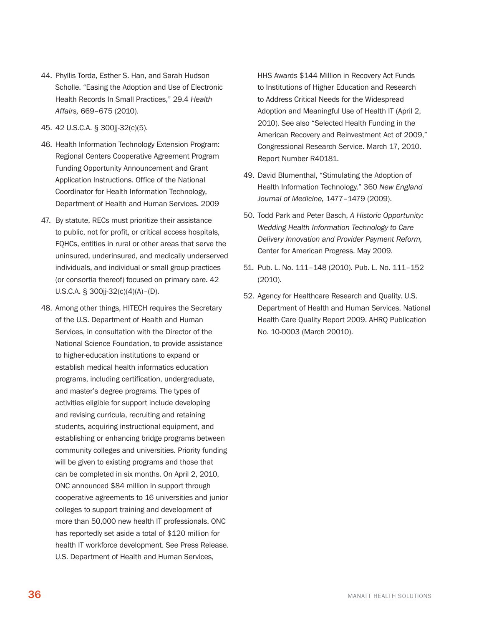- 44. Phyllis Torda, Esther S. Han, and Sarah Hudson Scholle. "Easing the Adoption and Use of Electronic Health Records In Small Practices," 29.4 *Health Affairs,* 669–675 (2010).
- 45. 42 U.S.C.A. § 300jj-32(c)(5).
- 46. Health Information Technology Extension Program: Regional Centers Cooperative Agreement Program Funding Opportunity Announcement and Grant Application Instructions. Office of the National Coordinator for Health Information Technology, Department of Health and Human Services. 2009
- 47. By statute, RECs must prioritize their assistance to public, not for profit, or critical access hospitals, FQHCs, entities in rural or other areas that serve the uninsured, underinsured, and medically underserved individuals, and individual or small group practices (or consortia thereof) focused on primary care. 42 U.S.C.A. § 300jj-32(c)(4)(A)–(D).
- 48. Among other things, HITECH requires the Secretary of the U.S. Department of Health and Human Services, in consultation with the Director of the National Science Foundation, to provide assistance to higher-education institutions to expand or establish medical health informatics education programs, including certification, undergraduate, and master's degree programs. The types of activities eligible for support include developing and revising curricula, recruiting and retaining students, acquiring instructional equipment, and establishing or enhancing bridge programs between community colleges and universities. Priority funding will be given to existing programs and those that can be completed in six months. On April 2, 2010, ONC announced \$84 million in support through cooperative agreements to 16 universities and junior colleges to support training and development of more than 50,000 new health IT professionals. ONC has reportedly set aside a total of \$120 million for health IT workforce development. See Press Release. U.S. Department of Health and Human Services,

HHS Awards \$144 Million in Recovery Act Funds to Institutions of Higher Education and Research to Address Critical Needs for the Widespread Adoption and Meaningful Use of Health IT (April 2, 2010). See also "Selected Health Funding in the American Recovery and Reinvestment Act of 2009," Congressional Research Service. March 17, 2010. Report Number R40181.

- 49. David Blumenthal, "Stimulating the Adoption of Health Information Technology." 360 *New England Journal of Medicine,* 1477–1479 (2009).
- 50. Todd Park and Peter Basch, *A Historic Opportunity: Wedding Health Information Technology to Care Delivery Innovation and Provider Payment Reform,* Center for American Progress. May 2009.
- 51. Pub. L. No. 111–148 (2010). Pub. L. No. 111–152 (2010).
- 52. Agency for Healthcare Research and Quality. U.S. Department of Health and Human Services. National Health Care Quality Report 2009. AHRQ Publication No. 10-0003 (March 20010).